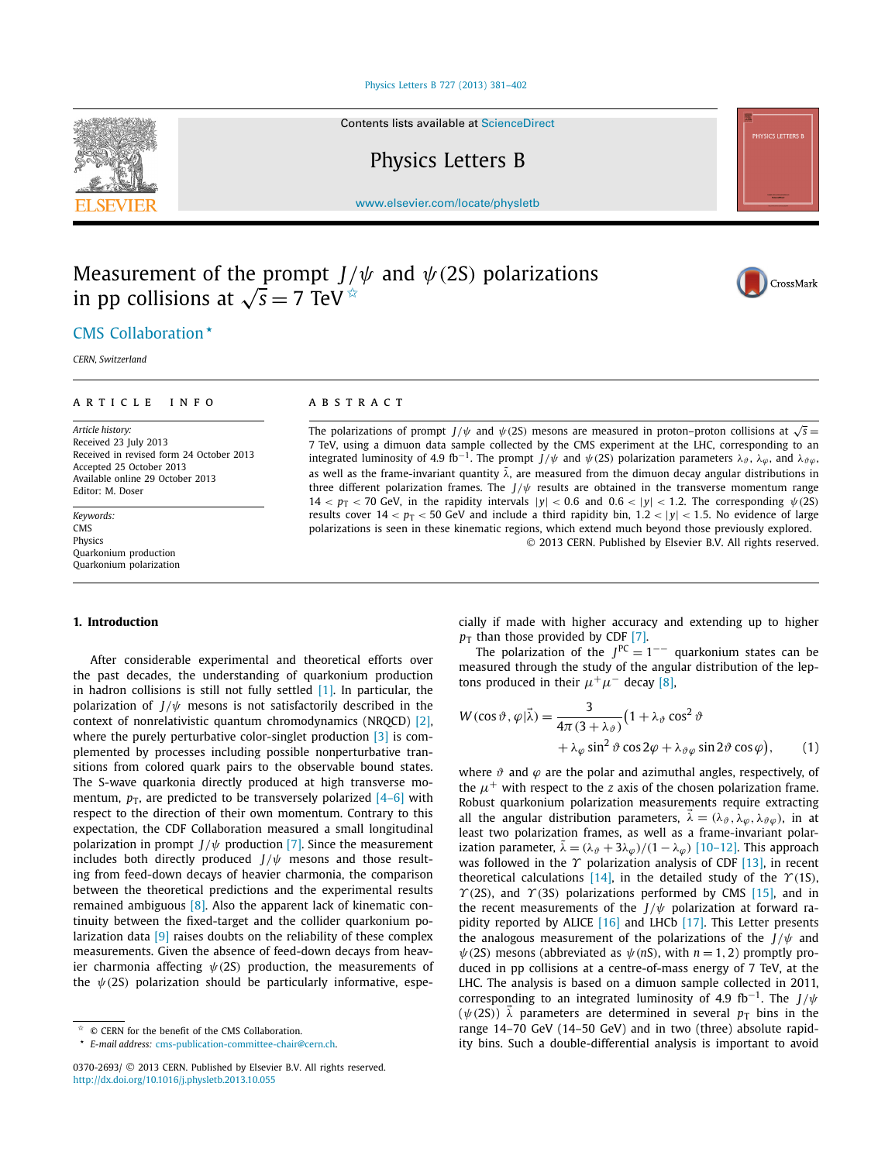#### [Physics Letters B 727 \(2013\) 381–402](http://dx.doi.org/10.1016/j.physletb.2013.10.055)

Contents lists available at [ScienceDirect](http://www.ScienceDirect.com/)

Physics Letters B

[www.elsevier.com/locate/physletb](http://www.elsevier.com/locate/physletb)



# Measurement of the prompt  $J/\psi$  and  $\psi$  (2S) polarizations in pp collisions at  $\sqrt{s}$  = 7 TeV  $*$



# [.CMS Collaboration](#page-7-0)

*CERN, Switzerland*

#### article info abstract

*Article history:* Received 23 July 2013 Received in revised form 24 October 2013 Accepted 25 October 2013 Available online 29 October 2013 Editor: M. Doser

*Keywords:* CMS Physics Quarkonium production Quarkonium polarization

#### **1. Introduction**

After considerable experimental and theoretical efforts over the past decades, the understanding of quarkonium production in hadron collisions is still not fully settled  $[1]$ . In particular, the polarization of  $J/\psi$  mesons is not satisfactorily described in the context of nonrelativistic quantum chromodynamics (NRQCD) [\[2\],](#page-6-0) where the purely perturbative color-singlet production [\[3\]](#page-6-0) is complemented by processes including possible nonperturbative transitions from colored quark pairs to the observable bound states. The S-wave quarkonia directly produced at high transverse momentum,  $p_T$ , are predicted to be transversely polarized  $[4-6]$  with respect to the direction of their own momentum. Contrary to this expectation, the CDF Collaboration measured a small longitudinal polarization in prompt  $J/\psi$  production [\[7\].](#page-6-0) Since the measurement includes both directly produced  $J/\psi$  mesons and those resulting from feed-down decays of heavier charmonia, the comparison between the theoretical predictions and the experimental results remained ambiguous [\[8\].](#page-6-0) Also the apparent lack of kinematic continuity between the fixed-target and the collider quarkonium polarization data [\[9\]](#page-6-0) raises doubts on the reliability of these complex measurements. Given the absence of feed-down decays from heavier charmonia affecting *ψ(*2S*)* production, the measurements of the  $\psi$ (2S) polarization should be particularly informative, espe-

*E-mail address:* [cms-publication-committee-chair@cern.ch](mailto:cms-publication-committee-chair@cern.ch).

The polarizations of prompt *J*/ $\psi$  and  $\psi$ (2S) mesons are measured in proton–proton collisions at  $\sqrt{s}$  = 7 TeV, using a dimuon data sample collected by the CMS experiment at the LHC, corresponding to an integrated luminosity of 4.9 fb<sup>−</sup>1. The prompt *J/ψ* and *ψ(*2S*)* polarization parameters *λϑ* , *λϕ*, and *λϑϕ*, as well as the frame-invariant quantity *λ*˜, are measured from the dimuon decay angular distributions in three different polarization frames. The *J/ψ* results are obtained in the transverse momentum range  $14 < p_T < 70$  GeV, in the rapidity intervals  $|y| < 0.6$  and  $0.6 < |y| < 1.2$ . The corresponding  $\psi(2S)$ results cover  $14 < p_T < 50$  GeV and include a third rapidity bin,  $1.2 < |y| < 1.5$ . No evidence of large polarizations is seen in these kinematic regions, which extend much beyond those previously explored. © 2013 CERN. Published by Elsevier B.V. All rights reserved.

> cially if made with higher accuracy and extending up to higher  $p_T$  than those provided by CDF [\[7\].](#page-6-0)

> The polarization of the  $J^{PC} = 1^{--}$  quarkonium states can be measured through the study of the angular distribution of the leptons produced in their  $\mu^+\mu^-$  decay [\[8\],](#page-6-0)

$$
W(\cos\vartheta, \varphi|\vec{\lambda}) = \frac{3}{4\pi (3 + \lambda_{\vartheta})} \left(1 + \lambda_{\vartheta} \cos^2 \vartheta + \lambda_{\vartheta} \sin^2 \vartheta \cos 2\varphi + \lambda_{\vartheta} \varphi \sin 2\vartheta \cos \varphi\right), \qquad (1)
$$

where  $\vartheta$  and  $\varphi$  are the polar and azimuthal angles, respectively, of the  $\mu^+$  with respect to the *z* axis of the chosen polarization frame. Robust quarkonium polarization measurements require extracting all the angular distribution parameters,  $\lambda = (\lambda_{\vartheta}, \lambda_{\varphi}, \lambda_{\vartheta_{\varphi}})$ , in at least two polarization frames, as well as a frame-invariant polarization parameter,  $\lambda = (\lambda_{\vartheta} + 3\lambda_{\varphi})/(1 - \lambda_{\varphi})$  [\[10–12\].](#page-6-0) This approach was followed in the *Υ* polarization analysis of CDF [\[13\],](#page-6-0) in recent theoretical calculations [\[14\],](#page-6-0) in the detailed study of the *Υ (*1S*)*, *Υ (*2S*)*, and *Υ (*3S*)* polarizations performed by CMS [\[15\],](#page-6-0) and in the recent measurements of the *J/ψ* polarization at forward ra-pidity reported by ALICE [\[16\]](#page-6-0) and LHCb [\[17\].](#page-6-0) This Letter presents the analogous measurement of the polarizations of the *J/ψ* and  $\psi$ (2S) mesons (abbreviated as  $\psi$ (*n*S), with *n* = 1, 2) promptly produced in pp collisions at a centre-of-mass energy of 7 TeV, at the LHC. The analysis is based on a dimuon sample collected in 2011, corresponding to an integrated luminosity of 4.9 fb<sup>−</sup>1. The *J/ψ*  $(\psi(2S))$   $\lambda$  parameters are determined in several  $p<sub>T</sub>$  bins in the range 14–70 GeV (14–50 GeV) and in two (three) absolute rapidity bins. Such a double-differential analysis is important to avoid

<span id="page-0-0"></span>

<sup>✩</sup> © CERN for the benefit of the CMS Collaboration.

<sup>0370-2693/</sup> © 2013 CERN. Published by Elsevier B.V. All rights reserved. <http://dx.doi.org/10.1016/j.physletb.2013.10.055>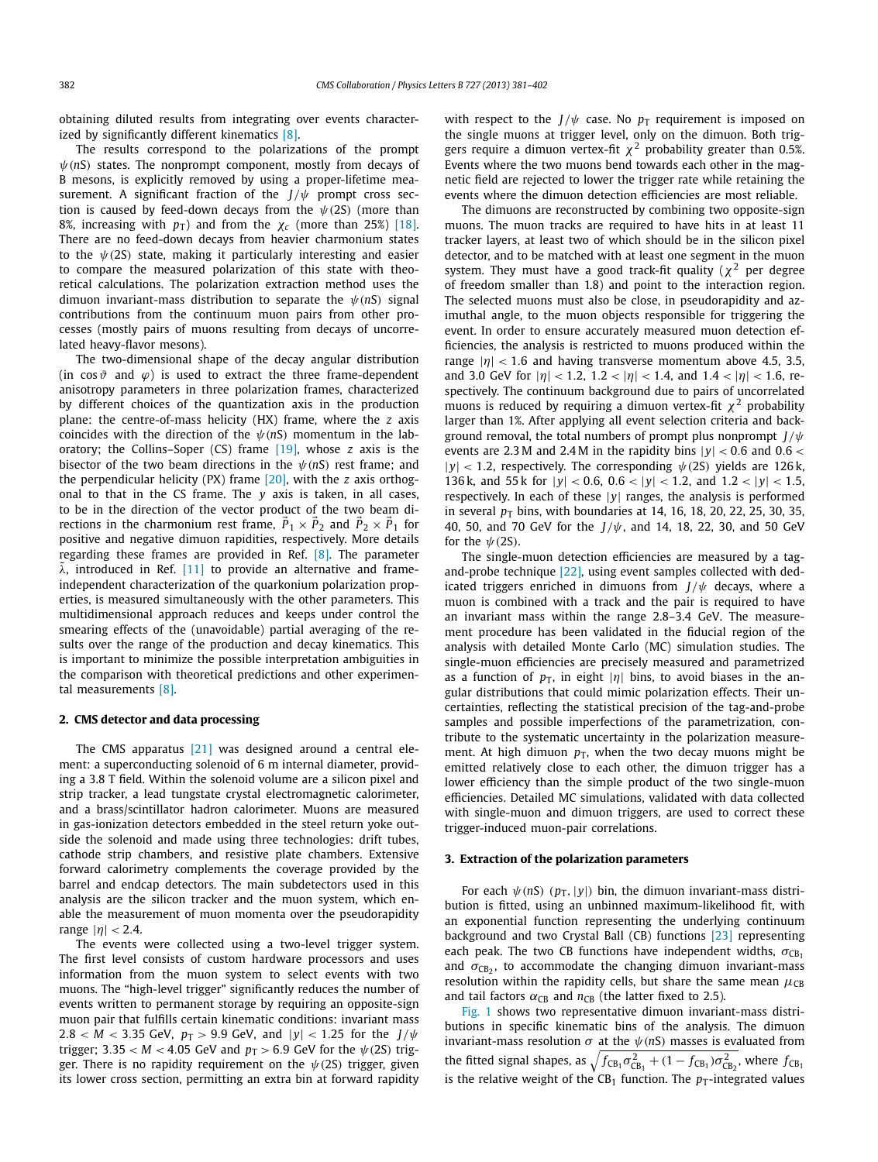obtaining diluted results from integrating over events character-ized by significantly different kinematics [\[8\].](#page-6-0)

The results correspond to the polarizations of the prompt *ψ(n*S*)* states. The nonprompt component, mostly from decays of B mesons, is explicitly removed by using a proper-lifetime measurement. A significant fraction of the *J/ψ* prompt cross section is caused by feed-down decays from the  $\psi$ (2S) (more than 8%, increasing with  $p_T$ ) and from the  $χ_c$  (more than 25%) [\[18\].](#page-6-0) There are no feed-down decays from heavier charmonium states to the  $\psi$ (2S) state, making it particularly interesting and easier to compare the measured polarization of this state with theoretical calculations. The polarization extraction method uses the dimuon invariant-mass distribution to separate the *ψ(n*S*)* signal contributions from the continuum muon pairs from other processes (mostly pairs of muons resulting from decays of uncorrelated heavy-flavor mesons).

The two-dimensional shape of the decay angular distribution (in cos  $\vartheta$  and  $\varphi$ ) is used to extract the three frame-dependent anisotropy parameters in three polarization frames, characterized by different choices of the quantization axis in the production plane: the centre-of-mass helicity (HX) frame, where the *z* axis coincides with the direction of the  $\psi$ (*n*S) momentum in the laboratory; the Collins–Soper (CS) frame [\[19\],](#page-6-0) whose *z* axis is the bisector of the two beam directions in the  $\psi(nS)$  rest frame; and the perpendicular helicity (PX) frame [\[20\],](#page-6-0) with the *z* axis orthogonal to that in the CS frame. The *y* axis is taken, in all cases, to be in the direction of the vector product of the two beam directions in the charmonium rest frame,  $P_1 \times P_2$  and  $P_2 \times P_1$  for positive and negative dimuon rapidities, respectively. More details regarding these frames are provided in Ref. [\[8\].](#page-6-0) The parameter  $\lambda$ , introduced in Ref. [\[11\]](#page-6-0) to provide an alternative and frameindependent characterization of the quarkonium polarization properties, is measured simultaneously with the other parameters. This multidimensional approach reduces and keeps under control the smearing effects of the (unavoidable) partial averaging of the results over the range of the production and decay kinematics. This is important to minimize the possible interpretation ambiguities in the comparison with theoretical predictions and other experimental measurements [\[8\].](#page-6-0)

#### **2. CMS detector and data processing**

The CMS apparatus [\[21\]](#page-6-0) was designed around a central element: a superconducting solenoid of 6 m internal diameter, providing a 3.8 T field. Within the solenoid volume are a silicon pixel and strip tracker, a lead tungstate crystal electromagnetic calorimeter, and a brass/scintillator hadron calorimeter. Muons are measured in gas-ionization detectors embedded in the steel return yoke outside the solenoid and made using three technologies: drift tubes, cathode strip chambers, and resistive plate chambers. Extensive forward calorimetry complements the coverage provided by the barrel and endcap detectors. The main subdetectors used in this analysis are the silicon tracker and the muon system, which enable the measurement of muon momenta over the pseudorapidity range  $|\eta|$  < 2.4.

The events were collected using a two-level trigger system. The first level consists of custom hardware processors and uses information from the muon system to select events with two muons. The "high-level trigger" significantly reduces the number of events written to permanent storage by requiring an opposite-sign muon pair that fulfills certain kinematic conditions: invariant mass  $2.8 < M < 3.35$  GeV,  $p_T > 9.9$  GeV, and  $|y| < 1.25$  for the  $J/\psi$ trigger;  $3.35 < M < 4.05$  GeV and  $p<sub>T</sub> > 6.9$  GeV for the  $\psi$  (2S) trigger. There is no rapidity requirement on the *ψ(*2S*)* trigger, given its lower cross section, permitting an extra bin at forward rapidity with respect to the  $J/\psi$  case. No  $p_T$  requirement is imposed on the single muons at trigger level, only on the dimuon. Both triggers require a dimuon vertex-fit  $\chi^2$  probability greater than 0.5%. Events where the two muons bend towards each other in the magnetic field are rejected to lower the trigger rate while retaining the events where the dimuon detection efficiencies are most reliable.

The dimuons are reconstructed by combining two opposite-sign muons. The muon tracks are required to have hits in at least 11 tracker layers, at least two of which should be in the silicon pixel detector, and to be matched with at least one segment in the muon system. They must have a good track-fit quality ( $\chi^2$  per degree of freedom smaller than 1.8) and point to the interaction region. The selected muons must also be close, in pseudorapidity and azimuthal angle, to the muon objects responsible for triggering the event. In order to ensure accurately measured muon detection efficiencies, the analysis is restricted to muons produced within the range  $|\eta|$  < 1.6 and having transverse momentum above 4.5, 3.5, and 3.0 GeV for  $|\eta| < 1.2$ ,  $1.2 < |\eta| < 1.4$ , and  $1.4 < |\eta| < 1.6$ , respectively. The continuum background due to pairs of uncorrelated muons is reduced by requiring a dimuon vertex-fit  $\chi^2$  probability larger than 1%. After applying all event selection criteria and background removal, the total numbers of prompt plus nonprompt *J/ψ* events are 2.3 M and 2.4 M in the rapidity bins |*y*| *<* 0*.*6 and 0*.*6 *<* |*y*| *<* 1*.*2, respectively. The corresponding *ψ(*2S*)* yields are 126 k, 136 k, and 55 k for |*y*| *<* 0*.*6, 0*.*6 *<* |*y*| *<* 1*.*2, and 1*.*2 *<* |*y*| *<* 1*.*5, respectively. In each of these |*y*| ranges, the analysis is performed in several  $p_T$  bins, with boundaries at 14, 16, 18, 20, 22, 25, 30, 35, 40, 50, and 70 GeV for the *J/ψ*, and 14, 18, 22, 30, and 50 GeV for the  $\psi$ (2S).

The single-muon detection efficiencies are measured by a tagand-probe technique [\[22\],](#page-6-0) using event samples collected with dedicated triggers enriched in dimuons from *J/ψ* decays, where a muon is combined with a track and the pair is required to have an invariant mass within the range 2.8–3.4 GeV. The measurement procedure has been validated in the fiducial region of the analysis with detailed Monte Carlo (MC) simulation studies. The single-muon efficiencies are precisely measured and parametrized as a function of  $p<sub>T</sub>$ , in eight  $|\eta|$  bins, to avoid biases in the angular distributions that could mimic polarization effects. Their uncertainties, reflecting the statistical precision of the tag-and-probe samples and possible imperfections of the parametrization, contribute to the systematic uncertainty in the polarization measurement. At high dimuon  $p<sub>T</sub>$ , when the two decay muons might be emitted relatively close to each other, the dimuon trigger has a lower efficiency than the simple product of the two single-muon efficiencies. Detailed MC simulations, validated with data collected with single-muon and dimuon triggers, are used to correct these trigger-induced muon-pair correlations.

#### **3. Extraction of the polarization parameters**

For each  $\psi$ (*n*S) ( $p_T$ , |*y*|) bin, the dimuon invariant-mass distribution is fitted, using an unbinned maximum-likelihood fit, with an exponential function representing the underlying continuum background and two Crystal Ball (CB) functions [\[23\]](#page-6-0) representing each peak. The two CB functions have independent widths,  $\sigma_{CB_1}$ and  $\sigma_{CB_2}$ , to accommodate the changing dimuon invariant-mass resolution within the rapidity cells, but share the same mean  $\mu_{CB}$ and tail factors  $\alpha_{CB}$  and  $n_{CB}$  (the latter fixed to 2.5).

[Fig. 1](#page-2-0) shows two representative dimuon invariant-mass distributions in specific kinematic bins of the analysis. The dimuon invariant-mass resolution  $\sigma$  at the  $\psi$ (*n*S) masses is evaluated from the fitted signal shapes, as  $\sqrt{f_{CB_1} \sigma_{CB_1}^2 + (1 - f_{CB_1}) \sigma_{CB_2}^2}$ , where  $f_{CB_1}$ is the relative weight of the  $CB_1$  function. The  $p_T$ -integrated values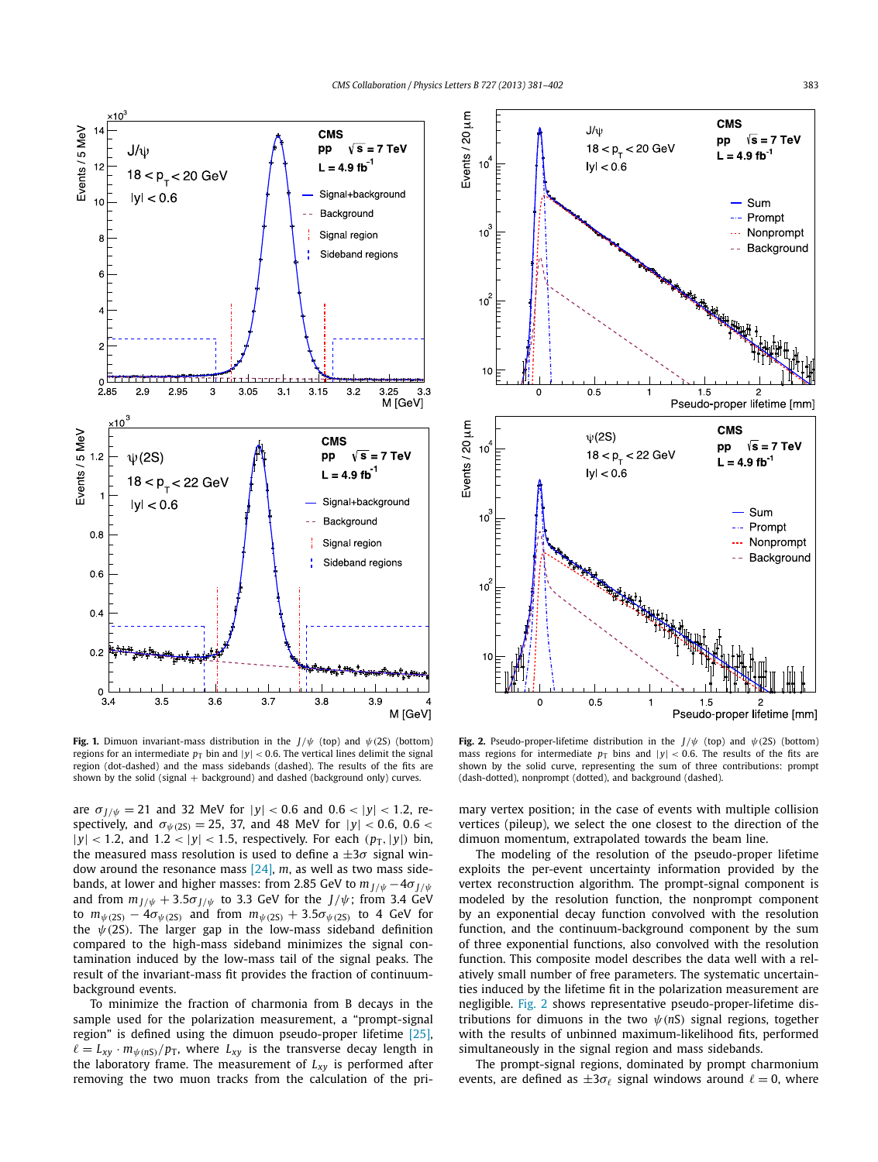<span id="page-2-0"></span>

**Fig. 1.** Dimuon invariant-mass distribution in the  $J/\psi$  (top) and  $\psi$ (2S) (bottom) regions for an intermediate  $p_T$  bin and  $|y| < 0.6$ . The vertical lines delimit the signal region (dot-dashed) and the mass sidebands (dashed). The results of the fits are shown by the solid (signal  $+$  background) and dashed (background only) curves.

are  $\sigma_{J/\psi} = 21$  and 32 MeV for  $|y| < 0.6$  and  $0.6 < |y| < 1.2$ , respectively, and  $\sigma_{\psi(2S)} = 25$ , 37, and 48 MeV for  $|y| < 0.6$ , 0.6  $<$  $|y| < 1.2$ , and  $1.2 < |y| < 1.5$ , respectively. For each  $(p_T, |y|)$  bin, the measured mass resolution is used to define a  $\pm 3\sigma$  signal window around the resonance mass [\[24\],](#page-6-0) *m*, as well as two mass sidebands, at lower and higher masses: from 2.85 GeV to  $m_{1/\psi} - 4\sigma_{1/\psi}$ and from  $m_{J/\psi}$  + 3.5 $\sigma_{J/\psi}$  to 3.3 GeV for the  $J/\psi$ ; from 3.4 GeV to  $m_{\psi(2S)} - 4\sigma_{\psi(2S)}$  and from  $m_{\psi(2S)} + 3.5\sigma_{\psi(2S)}$  to 4 GeV for the  $\psi$ (2S). The larger gap in the low-mass sideband definition compared to the high-mass sideband minimizes the signal contamination induced by the low-mass tail of the signal peaks. The result of the invariant-mass fit provides the fraction of continuumbackground events.

To minimize the fraction of charmonia from B decays in the sample used for the polarization measurement, a "prompt-signal region" is defined using the dimuon pseudo-proper lifetime [\[25\],](#page-6-0)  $\ell = L_{xy} \cdot m_{\psi(nS)}/p_{T}$ , where  $L_{xy}$  is the transverse decay length in the laboratory frame. The measurement of  $L_{XY}$  is performed after removing the two muon tracks from the calculation of the pri-



**Fig. 2.** Pseudo-proper-lifetime distribution in the  $J/\psi$  (top) and  $\psi$ (2S) (bottom) mass regions for intermediate  $p_T$  bins and  $|y| < 0.6$ . The results of the fits are shown by the solid curve, representing the sum of three contributions: prompt (dash-dotted), nonprompt (dotted), and background (dashed).

mary vertex position; in the case of events with multiple collision vertices (pileup), we select the one closest to the direction of the dimuon momentum, extrapolated towards the beam line.

The modeling of the resolution of the pseudo-proper lifetime exploits the per-event uncertainty information provided by the vertex reconstruction algorithm. The prompt-signal component is modeled by the resolution function, the nonprompt component by an exponential decay function convolved with the resolution function, and the continuum-background component by the sum of three exponential functions, also convolved with the resolution function. This composite model describes the data well with a relatively small number of free parameters. The systematic uncertainties induced by the lifetime fit in the polarization measurement are negligible. Fig. 2 shows representative pseudo-proper-lifetime distributions for dimuons in the two *ψ(n*S*)* signal regions, together with the results of unbinned maximum-likelihood fits, performed simultaneously in the signal region and mass sidebands.

The prompt-signal regions, dominated by prompt charmonium events, are defined as  $\pm 3\sigma_\ell$  signal windows around  $\ell = 0$ , where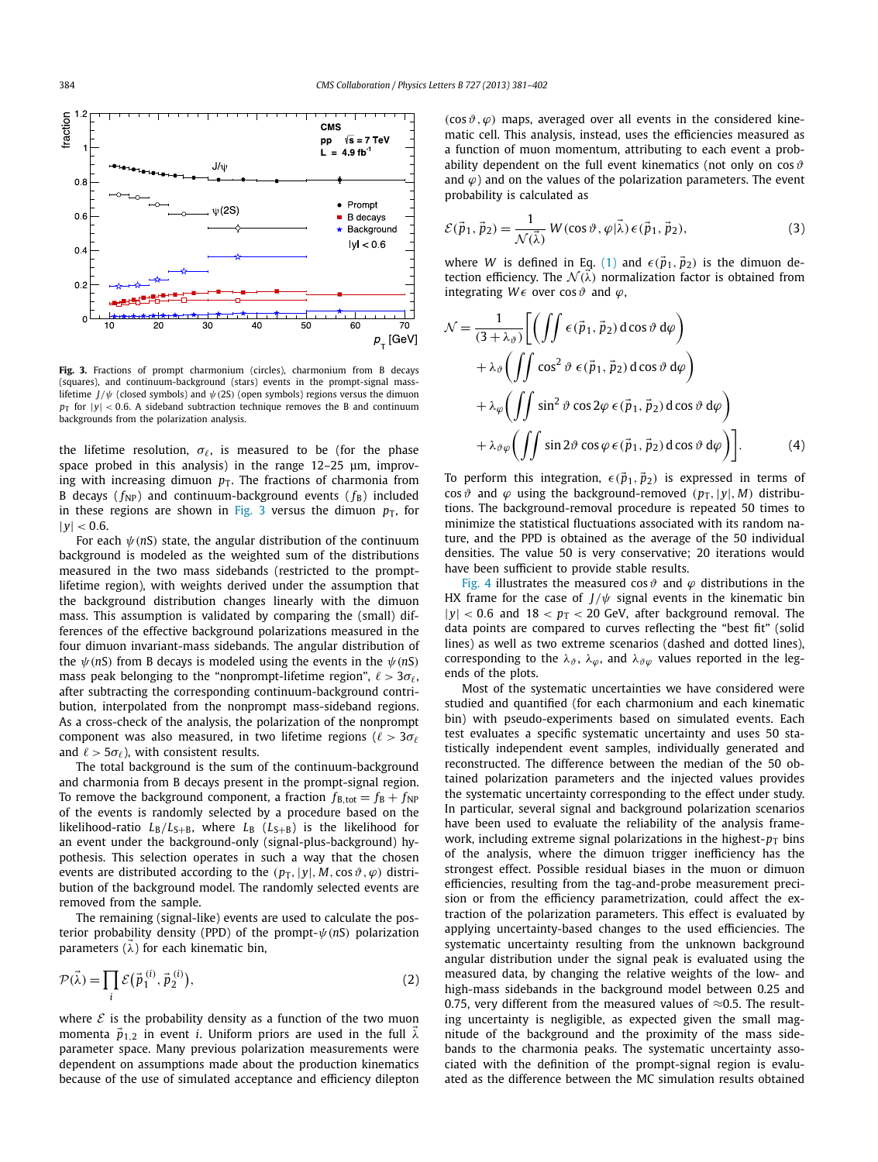

**Fig. 3.** Fractions of prompt charmonium (circles), charmonium from B decays (squares), and continuum-background (stars) events in the prompt-signal masslifetime *J/ψ* (closed symbols) and *ψ(*2S*)* (open symbols) regions versus the dimuon  $p_T$  for  $|y|$  < 0.6. A sideband subtraction technique removes the B and continuum backgrounds from the polarization analysis.

the lifetime resolution,  $\sigma_{\ell}$ , is measured to be (for the phase space probed in this analysis) in the range 12–25 μm, improving with increasing dimuon  $p<sub>T</sub>$ . The fractions of charmonia from B decays ( $f_{NP}$ ) and continuum-background events ( $f_B$ ) included in these regions are shown in Fig. 3 versus the dimuon  $p<sub>T</sub>$ , for  $|y| < 0.6$ .

For each  $\psi$ (*n*S) state, the angular distribution of the continuum background is modeled as the weighted sum of the distributions measured in the two mass sidebands (restricted to the promptlifetime region), with weights derived under the assumption that the background distribution changes linearly with the dimuon mass. This assumption is validated by comparing the (small) differences of the effective background polarizations measured in the four dimuon invariant-mass sidebands. The angular distribution of the  $\psi(nS)$  from B decays is modeled using the events in the  $\psi(nS)$ mass peak belonging to the "nonprompt-lifetime region",  $\ell > 3\sigma_{\ell}$ , after subtracting the corresponding continuum-background contribution, interpolated from the nonprompt mass-sideband regions. As a cross-check of the analysis, the polarization of the nonprompt component was also measured, in two lifetime regions ( $\ell > 3\sigma_{\ell}$ ) and  $\ell > 5\sigma_{\ell}$ ), with consistent results.

The total background is the sum of the continuum-background and charmonia from B decays present in the prompt-signal region. To remove the background component, a fraction  $f_{\text{B,tot}} = f_{\text{B}} + f_{\text{NP}}$ of the events is randomly selected by a procedure based on the likelihood-ratio  $L_B/L_{S+B}$ , where  $L_B$  ( $L_{S+B}$ ) is the likelihood for an event under the background-only (signal-plus-background) hypothesis. This selection operates in such a way that the chosen events are distributed according to the  $(p_T, |y|, M, \cos \vartheta, \varphi)$  distribution of the background model. The randomly selected events are removed from the sample.

The remaining (signal-like) events are used to calculate the posterior probability density (PPD) of the prompt-*ψ(n*S*)* polarization parameters  $(\vec{\lambda})$  for each kinematic bin,

$$
\mathcal{P}(\vec{\lambda}) = \prod_{i} \mathcal{E}(\vec{p}_1^{(i)}, \vec{p}_2^{(i)}),\tag{2}
$$

where  $\mathcal E$  is the probability density as a function of the two muon momenta  $\vec{p}_{1,2}$  in event *i*. Uniform priors are used in the full  $\vec{\lambda}$ parameter space. Many previous polarization measurements were dependent on assumptions made about the production kinematics because of the use of simulated acceptance and efficiency dilepton *(*cos*ϑ,ϕ)* maps, averaged over all events in the considered kinematic cell. This analysis, instead, uses the efficiencies measured as a function of muon momentum, attributing to each event a probability dependent on the full event kinematics (not only on cos*ϑ* and *ϕ*) and on the values of the polarization parameters. The event probability is calculated as

$$
\mathcal{E}(\vec{p}_1, \vec{p}_2) = \frac{1}{\mathcal{N}(\vec{\lambda})} W(\cos \vartheta, \varphi | \vec{\lambda}) \epsilon(\vec{p}_1, \vec{p}_2), \tag{3}
$$

where *W* is defined in Eq. [\(1\)](#page-0-0) and  $\epsilon(\vec{p}_1, \vec{p}_2)$  is the dimuon detection efficiency. The  $\mathcal{N}(\vec{\lambda})$  normalization factor is obtained from integrating  $W \in \text{over } \cos \vartheta$  and  $\varphi$ ,

$$
\mathcal{N} = \frac{1}{(3+\lambda_{\vartheta})} \Bigg[ \Big( \iint \epsilon(\vec{p}_1, \vec{p}_2) \, d\cos\vartheta \, d\varphi \Big) \n+ \lambda_{\vartheta} \Big( \iint \cos^2\vartheta \, \epsilon(\vec{p}_1, \vec{p}_2) \, d\cos\vartheta \, d\varphi \Big) \n+ \lambda_{\varphi} \Big( \iint \sin^2\vartheta \cos 2\varphi \, \epsilon(\vec{p}_1, \vec{p}_2) \, d\cos\vartheta \, d\varphi \Big) \n+ \lambda_{\vartheta} \varphi \Big( \iint \sin 2\vartheta \cos\varphi \, \epsilon(\vec{p}_1, \vec{p}_2) \, d\cos\vartheta \, d\varphi \Big) \Bigg].
$$
\n(4)

To perform this integration,  $\epsilon(\vec{p}_1, \vec{p}_2)$  is expressed in terms of cos  $\vartheta$  and  $\varphi$  using the background-removed  $(p_T, |y|, M)$  distributions. The background-removal procedure is repeated 50 times to minimize the statistical fluctuations associated with its random nature, and the PPD is obtained as the average of the 50 individual densities. The value 50 is very conservative; 20 iterations would have been sufficient to provide stable results.

[Fig. 4](#page-4-0) illustrates the measured cos  $\vartheta$  and  $\varphi$  distributions in the HX frame for the case of  $J/\psi$  signal events in the kinematic bin  $|y|$  < 0.6 and 18 <  $p_T$  < 20 GeV, after background removal. The data points are compared to curves reflecting the "best fit" (solid lines) as well as two extreme scenarios (dashed and dotted lines), corresponding to the  $\lambda_{\vartheta}$ ,  $\lambda_{\varphi}$ , and  $\lambda_{\vartheta\varphi}$  values reported in the legends of the plots.

Most of the systematic uncertainties we have considered were studied and quantified (for each charmonium and each kinematic bin) with pseudo-experiments based on simulated events. Each test evaluates a specific systematic uncertainty and uses 50 statistically independent event samples, individually generated and reconstructed. The difference between the median of the 50 obtained polarization parameters and the injected values provides the systematic uncertainty corresponding to the effect under study. In particular, several signal and background polarization scenarios have been used to evaluate the reliability of the analysis framework, including extreme signal polarizations in the highest- $p<sub>T</sub>$  bins of the analysis, where the dimuon trigger inefficiency has the strongest effect. Possible residual biases in the muon or dimuon efficiencies, resulting from the tag-and-probe measurement precision or from the efficiency parametrization, could affect the extraction of the polarization parameters. This effect is evaluated by applying uncertainty-based changes to the used efficiencies. The systematic uncertainty resulting from the unknown background angular distribution under the signal peak is evaluated using the measured data, by changing the relative weights of the low- and high-mass sidebands in the background model between 0.25 and 0.75, very different from the measured values of  $\approx$ 0.5. The resulting uncertainty is negligible, as expected given the small magnitude of the background and the proximity of the mass sidebands to the charmonia peaks. The systematic uncertainty associated with the definition of the prompt-signal region is evaluated as the difference between the MC simulation results obtained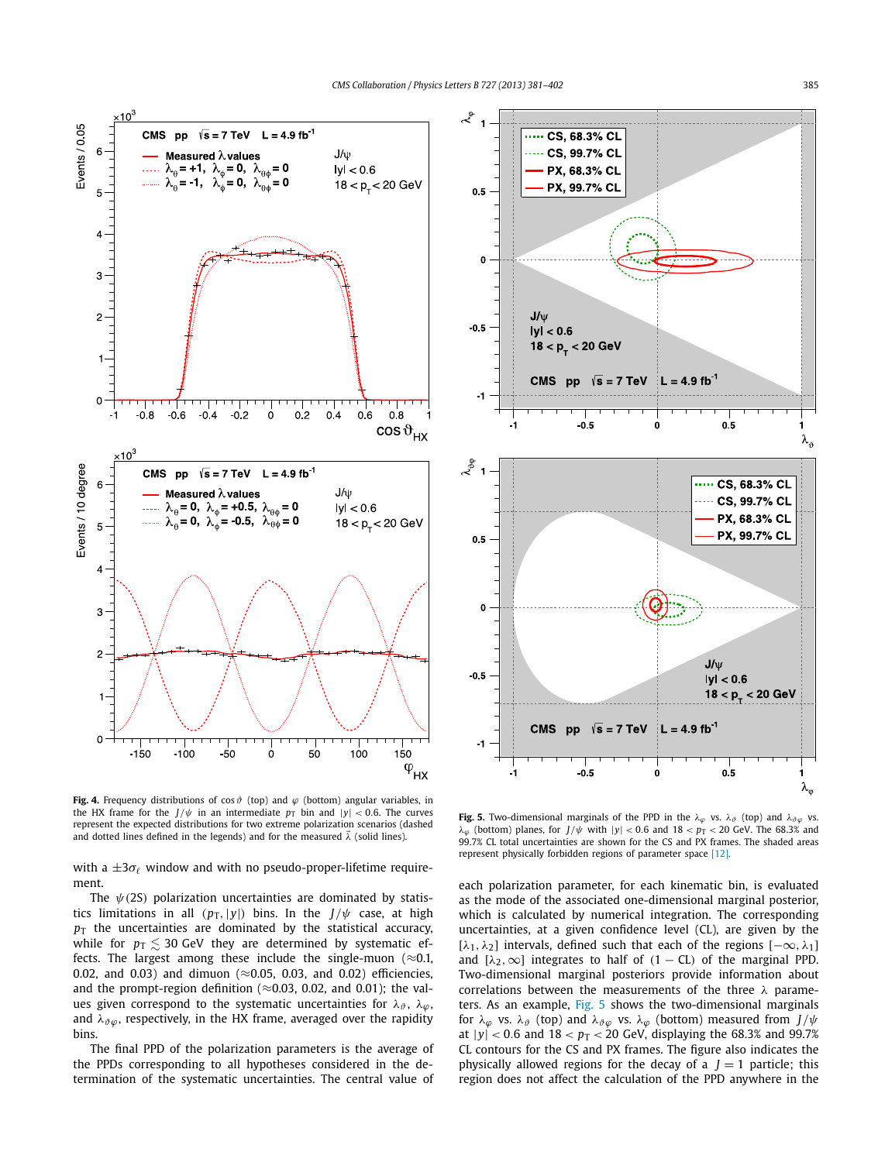<span id="page-4-0"></span>

**Fig. 4.** Frequency distributions of cos  $\vartheta$  (top) and  $\varphi$  (bottom) angular variables, in the HX frame for the  $J/\psi$  in an intermediate  $p_T$  bin and  $|y| < 0.6$ . The curves represent the expected distributions for two extreme polarization scenarios (dashed and dotted lines defined in the legends) and for the measured *λ* (solid lines).

with a  $\pm 3\sigma_\ell$  window and with no pseudo-proper-lifetime requirement.

The  $\psi$ (2S) polarization uncertainties are dominated by statistics limitations in all  $(p_T, |y|)$  bins. In the  $J/\psi$  case, at high  $p<sub>T</sub>$  the uncertainties are dominated by the statistical accuracy, while for  $p_{\rm T} \lesssim$  30 GeV they are determined by systematic effects. The largest among these include the single-muon ( $\approx$ 0.1, 0.02, and 0.03) and dimuon ( $\approx$ 0.05, 0.03, and 0.02) efficiencies, and the prompt-region definition ( $\approx$ 0.03, 0.02, and 0.01); the values given correspond to the systematic uncertainties for  $\lambda_{\vartheta}$ ,  $\lambda_{\varphi}$ , and  $\lambda_{\vartheta\varphi}$ , respectively, in the HX frame, averaged over the rapidity bins.

The final PPD of the polarization parameters is the average of the PPDs corresponding to all hypotheses considered in the determination of the systematic uncertainties. The central value of



**Fig. 5.** Two-dimensional marginals of the PPD in the  $\lambda_{\varphi}$  vs.  $\lambda_{\vartheta}$  (top) and  $\lambda_{\vartheta\varphi}$  vs. *λ*<sub>*ϕ*</sub> (bottom) planes, for *J/ψ* with  $|y|$  < 0.6 and 18 < *p*<sub>T</sub> < 20 GeV. The 68.3% and 99.7% CL total uncertainties are shown for the CS and PX frames. The shaded areas represent physically forbidden regions of parameter space [\[12\].](#page-6-0)

each polarization parameter, for each kinematic bin, is evaluated as the mode of the associated one-dimensional marginal posterior, which is calculated by numerical integration. The corresponding uncertainties, at a given confidence level (CL), are given by the [*λ*1*,λ*2] intervals, defined such that each of the regions [−∞*,λ*1] and  $[\lambda_2, \infty]$  integrates to half of  $(1 - CL)$  of the marginal PPD. Two-dimensional marginal posteriors provide information about correlations between the measurements of the three *λ* parameters. As an example, Fig. 5 shows the two-dimensional marginals for *λϕ* vs. *λϑ* (top) and *λϑϕ* vs. *λϕ* (bottom) measured from *J/ψ* at  $|y| < 0.6$  and  $18 < p_T < 20$  GeV, displaying the 68.3% and 99.7% CL contours for the CS and PX frames. The figure also indicates the physically allowed regions for the decay of a  $J = 1$  particle; this region does not affect the calculation of the PPD anywhere in the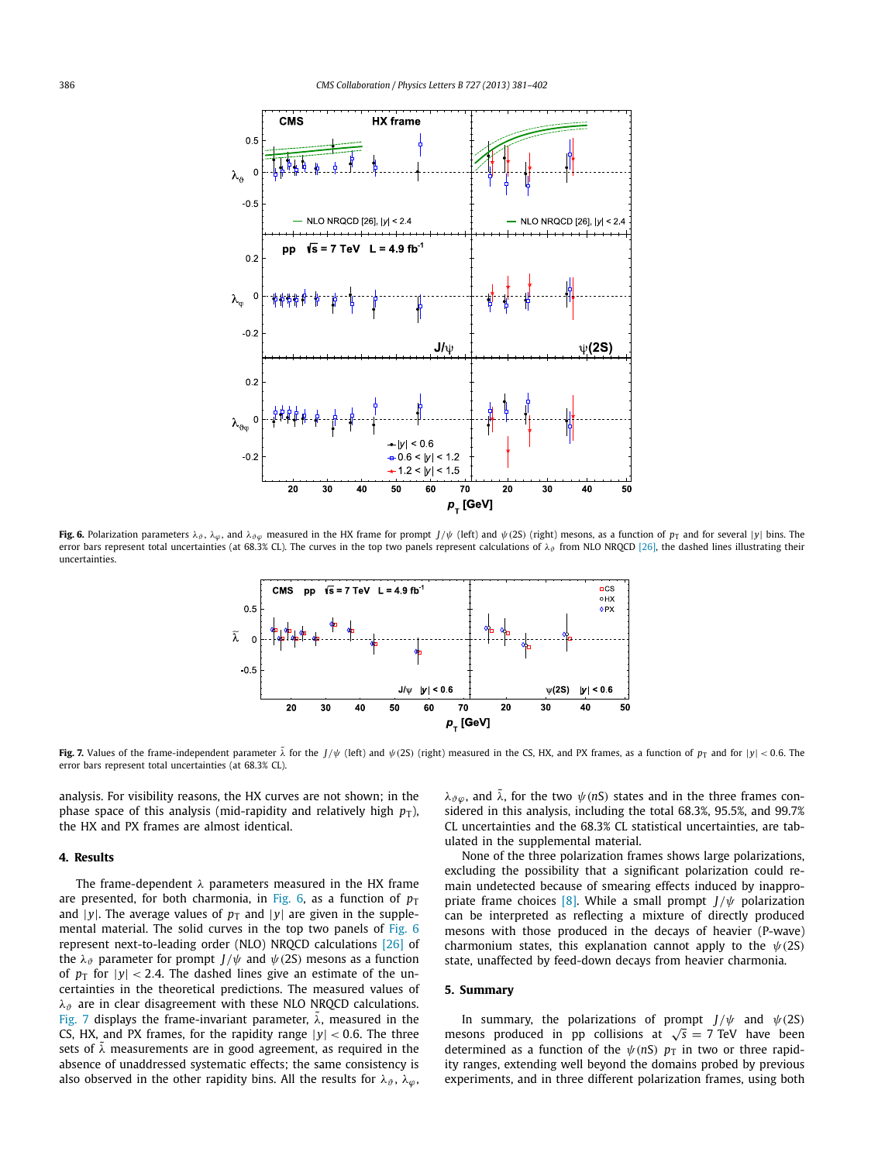

Fig. 6. Polarization parameters  $\lambda_{\vartheta}$ ,  $\lambda_{\vartheta}$ , and  $\lambda_{\vartheta\vartheta}$  measured in the HX frame for prompt  $J/\psi$  (left) and  $\psi$ (2S) (right) mesons, as a function of  $p_T$  and for several |y| bins. The error bars represent total uncertainties (at 68.3% CL). The curves in the top two panels represent calculations of *λϑ* from NLO NRQCD [\[26\],](#page-6-0) the dashed lines illustrating their uncertainties.



Fig. 7. Values of the frame-independent parameter  $\tilde{\lambda}$  for the  $J/\psi$  (left) and  $\psi$ (2S) (right) measured in the CS, HX, and PX frames, as a function of  $p_T$  and for  $|y|$  < 0.6. The error bars represent total uncertainties (at 68.3% CL).

analysis. For visibility reasons, the HX curves are not shown; in the phase space of this analysis (mid-rapidity and relatively high  $p<sub>T</sub>$ ), the HX and PX frames are almost identical.

#### **4. Results**

The frame-dependent *λ* parameters measured in the HX frame are presented, for both charmonia, in Fig. 6, as a function of  $p_T$ and |*y*|. The average values of  $p<sub>T</sub>$  and |*y*| are given in the supplemental material. The solid curves in the top two panels of Fig. 6 represent next-to-leading order (NLO) NRQCD calculations [\[26\]](#page-6-0) of the  $\lambda_{\vartheta}$  parameter for prompt *J*/ $\psi$  and  $\psi$ (2S) mesons as a function of  $p_T$  for  $|y| < 2.4$ . The dashed lines give an estimate of the uncertainties in the theoretical predictions. The measured values of *λϑ* are in clear disagreement with these NLO NRQCD calculations. Fig. 7 displays the frame-invariant parameter,  $\tilde{\lambda}$ , measured in the CS, HX, and PX frames, for the rapidity range  $|y| < 0.6$ . The three sets of  $\tilde{\lambda}$  measurements are in good agreement, as required in the absence of unaddressed systematic effects; the same consistency is also observed in the other rapidity bins. All the results for  $\lambda_{\vartheta}$ ,  $\lambda_{\varphi}$ ,  $λ_{\vartheta\varphi}$ , and  $\tilde{\lambda}$ , for the two  $\psi$ (*n*S) states and in the three frames considered in this analysis, including the total 68.3%, 95.5%, and 99.7% CL uncertainties and the 68.3% CL statistical uncertainties, are tabulated in the supplemental material.

None of the three polarization frames shows large polarizations, excluding the possibility that a significant polarization could remain undetected because of smearing effects induced by inappropriate frame choices [\[8\].](#page-6-0) While a small prompt *J/ψ* polarization can be interpreted as reflecting a mixture of directly produced mesons with those produced in the decays of heavier (P-wave) charmonium states, this explanation cannot apply to the  $\psi(2S)$ state, unaffected by feed-down decays from heavier charmonia.

#### **5. Summary**

In summary, the polarizations of prompt  $J/\psi$  and  $\psi$ (2S) mesons produced in pp collisions at  $\sqrt{s}$  = 7 TeV have been determined as a function of the  $\psi$ (*n*S)  $p_T$  in two or three rapidity ranges, extending well beyond the domains probed by previous experiments, and in three different polarization frames, using both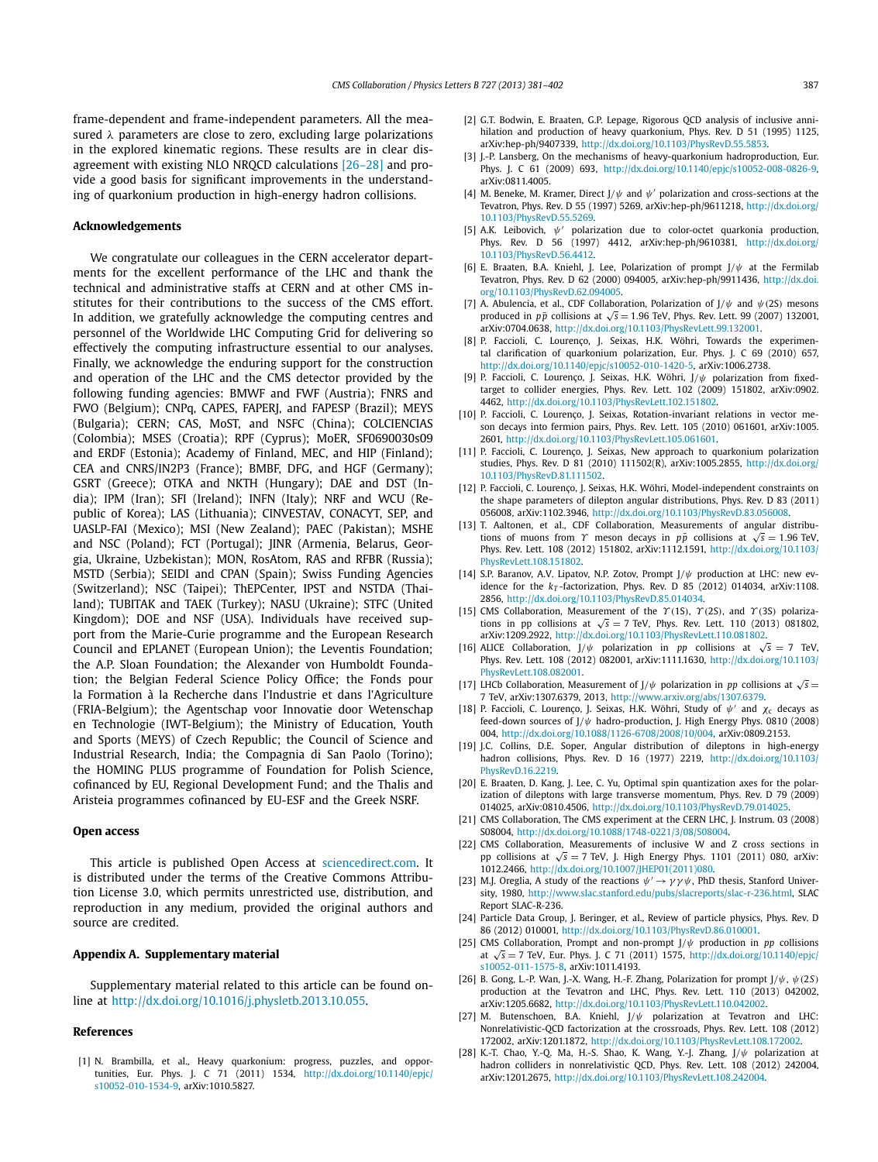<span id="page-6-0"></span>frame-dependent and frame-independent parameters. All the measured *λ* parameters are close to zero, excluding large polarizations in the explored kinematic regions. These results are in clear disagreement with existing NLO NRQCD calculations [26–28] and provide a good basis for significant improvements in the understanding of quarkonium production in high-energy hadron collisions.

#### **Acknowledgements**

We congratulate our colleagues in the CERN accelerator departments for the excellent performance of the LHC and thank the technical and administrative staffs at CERN and at other CMS institutes for their contributions to the success of the CMS effort. In addition, we gratefully acknowledge the computing centres and personnel of the Worldwide LHC Computing Grid for delivering so effectively the computing infrastructure essential to our analyses. Finally, we acknowledge the enduring support for the construction and operation of the LHC and the CMS detector provided by the following funding agencies: BMWF and FWF (Austria); FNRS and FWO (Belgium); CNPq, CAPES, FAPERJ, and FAPESP (Brazil); MEYS (Bulgaria); CERN; CAS, MoST, and NSFC (China); COLCIENCIAS (Colombia); MSES (Croatia); RPF (Cyprus); MoER, SF0690030s09 and ERDF (Estonia); Academy of Finland, MEC, and HIP (Finland); CEA and CNRS/IN2P3 (France); BMBF, DFG, and HGF (Germany); GSRT (Greece); OTKA and NKTH (Hungary); DAE and DST (India); IPM (Iran); SFI (Ireland); INFN (Italy); NRF and WCU (Republic of Korea); LAS (Lithuania); CINVESTAV, CONACYT, SEP, and UASLP-FAI (Mexico); MSI (New Zealand); PAEC (Pakistan); MSHE and NSC (Poland); FCT (Portugal); JINR (Armenia, Belarus, Georgia, Ukraine, Uzbekistan); MON, RosAtom, RAS and RFBR (Russia); MSTD (Serbia); SEIDI and CPAN (Spain); Swiss Funding Agencies (Switzerland); NSC (Taipei); ThEPCenter, IPST and NSTDA (Thailand); TUBITAK and TAEK (Turkey); NASU (Ukraine); STFC (United Kingdom); DOE and NSF (USA). Individuals have received support from the Marie-Curie programme and the European Research Council and EPLANET (European Union); the Leventis Foundation; the A.P. Sloan Foundation; the Alexander von Humboldt Foundation; the Belgian Federal Science Policy Office; the Fonds pour la Formation à la Recherche dans l'Industrie et dans l'Agriculture (FRIA-Belgium); the Agentschap voor Innovatie door Wetenschap en Technologie (IWT-Belgium); the Ministry of Education, Youth and Sports (MEYS) of Czech Republic; the Council of Science and Industrial Research, India; the Compagnia di San Paolo (Torino); the HOMING PLUS programme of Foundation for Polish Science, cofinanced by EU, Regional Development Fund; and the Thalis and Aristeia programmes cofinanced by EU-ESF and the Greek NSRF.

#### **Open access**

This article is published Open Access at [sciencedirect.com.](http://www.sciencedirect.com) It is distributed under the terms of the Creative Commons Attribution License 3.0, which permits unrestricted use, distribution, and reproduction in any medium, provided the original authors and source are credited.

#### **Appendix A. Supplementary material**

Supplementary material related to this article can be found online at <http://dx.doi.org/10.1016/j.physletb.2013.10.055>.

#### **References**

[1] N. Brambilla, et al., Heavy quarkonium: progress, puzzles, and opportunities, Eur. Phys. J. C 71 (2011) 1534, [http://dx.doi.org/10.1140/epjc/](http://dx.doi.org/10.1140/epjc/s10052-010-1534-9) [s10052-010-1534-9,](http://dx.doi.org/10.1140/epjc/s10052-010-1534-9) arXiv:1010.5827.

- [2] G.T. Bodwin, E. Braaten, G.P. Lepage, Rigorous QCD analysis of inclusive annihilation and production of heavy quarkonium, Phys. Rev. D 51 (1995) 1125, arXiv:hep-ph/9407339, <http://dx.doi.org/10.1103/PhysRevD.55.5853>.
- [3] J.-P. Lansberg, On the mechanisms of heavy-quarkonium hadroproduction, Eur. Phys. J. C 61 (2009) 693, <http://dx.doi.org/10.1140/epjc/s10052-008-0826-9>, arXiv:0811.4005.
- [4] M. Beneke, M. Kramer, Direct *J*/ $\psi$  and  $\psi'$  polarization and cross-sections at the Tevatron, Phys. Rev. D 55 (1997) 5269, arXiv:hep-ph/9611218, [http://dx.doi.org/](http://dx.doi.org/10.1103/PhysRevD.55.5269) [10.1103/PhysRevD.55.5269](http://dx.doi.org/10.1103/PhysRevD.55.5269).
- [5] A.K. Leibovich,  $ψ'$  polarization due to color-octet quarkonia production, Phys. Rev. D 56 (1997) 4412, arXiv:hep-ph/9610381, [http://dx.doi.org/](http://dx.doi.org/10.1103/PhysRevD.56.4412) [10.1103/PhysRevD.56.4412](http://dx.doi.org/10.1103/PhysRevD.56.4412).
- [6] E. Braaten, B.A. Kniehl, J. Lee, Polarization of prompt J*/ψ* at the Fermilab Tevatron, Phys. Rev. D 62 (2000) 094005, arXiv:hep-ph/9911436, [http://dx.doi.](http://dx.doi.org/10.1103/PhysRevD.62.094005) [org/10.1103/PhysRevD.62.094005](http://dx.doi.org/10.1103/PhysRevD.62.094005).
- [7] A. Abulencia, et al., CDF Collaboration, Polarization of J*/ψ* and *ψ(*2S*)* mesons produced in *pp* collisions at  $\sqrt{s}$  = 1.96 TeV, Phys. Rev. Lett. 99 (2007) 132001, arXiv:0704.0638, [http://dx.doi.org/10.1103/PhysRevLett.99.132001.](http://dx.doi.org/10.1103/PhysRevLett.99.132001)
- [8] P. Faccioli, C. Lourenço, J. Seixas, H.K. Wöhri, Towards the experimental clarification of quarkonium polarization, Eur. Phys. J. C 69 (2010) 657, <http://dx.doi.org/10.1140/epjc/s10052-010-1420-5>, arXiv:1006.2738.
- [9] P. Faccioli, C. Lourenço, J. Seixas, H.K. Wöhri, J*/ψ* polarization from fixedtarget to collider energies, Phys. Rev. Lett. 102 (2009) 151802, arXiv:0902. 4462, <http://dx.doi.org/10.1103/PhysRevLett.102.151802>.
- [10] P. Faccioli, C. Lourenço, J. Seixas, Rotation-invariant relations in vector meson decays into fermion pairs, Phys. Rev. Lett. 105 (2010) 061601, arXiv:1005. 2601, <http://dx.doi.org/10.1103/PhysRevLett.105.061601>.
- [11] P. Faccioli, C. Lourenço, J. Seixas, New approach to quarkonium polarization studies, Phys. Rev. D 81 (2010) 111502(R), arXiv:1005.2855, [http://dx.doi.org/](http://dx.doi.org/10.1103/PhysRevD.81.111502) [10.1103/PhysRevD.81.111502.](http://dx.doi.org/10.1103/PhysRevD.81.111502)
- [12] P. Faccioli, C. Lourenço, J. Seixas, H.K. Wöhri, Model-independent constraints on the shape parameters of dilepton angular distributions, Phys. Rev. D 83 (2011) 056008, arXiv:1102.3946, <http://dx.doi.org/10.1103/PhysRevD.83.056008>.
- [13] T. Aaltonen, et al., CDF Collaboration, Measurements of angular distributions of muons from *Υ* meson decays in  $p\bar{p}$  collisions at  $\sqrt{s} = 1.96$  TeV, Phys. Rev. Lett. 108 (2012) 151802, arXiv:1112.1591, [http://dx.doi.org/10.1103/](http://dx.doi.org/10.1103/PhysRevLett.108.151802) [PhysRevLett.108.151802.](http://dx.doi.org/10.1103/PhysRevLett.108.151802)
- [14] S.P. Baranov, A.V. Lipatov, N.P. Zotov, Prompt J*/ψ* production at LHC: new evidence for the  $k_T$ -factorization, Phys. Rev. D 85 (2012) 014034, arXiv:1108. 2856, [http://dx.doi.org/10.1103/PhysRevD.85.014034.](http://dx.doi.org/10.1103/PhysRevD.85.014034)
- [15] CMS Collaboration, Measurement of the *Υ (*1S*)*, *Υ (*2S*)*, and *Υ (*3S*)* polarizations in pp collisions at  $\sqrt{s} = 7$  TeV, Phys. Rev. Lett. 110 (2013) 081802, arXiv:1209.2922, <http://dx.doi.org/10.1103/PhysRevLett.110.081802>.
- [16] ALICE Collaboration, J/ $\psi$  polarization in *pp* collisions at  $\sqrt{s} = 7$  TeV, Phys. Rev. Lett. 108 (2012) 082001, arXiv:1111.1630, [http://dx.doi.org/10.1103/](http://dx.doi.org/10.1103/PhysRevLett.108.082001) [PhysRevLett.108.082001](http://dx.doi.org/10.1103/PhysRevLett.108.082001).
- [17] LHCb Collaboration, Measurement of J/ $\psi$  polarization in *pp* collisions at  $\sqrt{s}$  = 7 TeV, arXiv:1307.6379, 2013, <http://www.arxiv.org/abs/1307.6379>.
- [18] P. Faccioli, C. Lourenço, J. Seixas, H.K. Wöhri, Study of *ψ* and *χ*<sup>c</sup> decays as feed-down sources of J*/ψ* hadro-production, J. High Energy Phys. 0810 (2008) 004, [http://dx.doi.org/10.1088/1126-6708/2008/10/004,](http://dx.doi.org/10.1088/1126-6708/2008/10/004) arXiv:0809.2153.
- [19] J.C. Collins, D.E. Soper, Angular distribution of dileptons in high-energy hadron collisions, Phys. Rev. D 16 (1977) 2219, [http://dx.doi.org/10.1103/](http://dx.doi.org/10.1103/PhysRevD.16.2219) [PhysRevD.16.2219.](http://dx.doi.org/10.1103/PhysRevD.16.2219)
- [20] E. Braaten, D. Kang, J. Lee, C. Yu, Optimal spin quantization axes for the polarization of dileptons with large transverse momentum, Phys. Rev. D 79 (2009) 014025, arXiv:0810.4506, <http://dx.doi.org/10.1103/PhysRevD.79.014025>.
- [21] CMS Collaboration, The CMS experiment at the CERN LHC, J. Instrum. 03 (2008) S08004, <http://dx.doi.org/10.1088/1748-0221/3/08/S08004>.
- [22] CMS Collaboration, Measurements of inclusive W and Z cross sections in pp collisions at  $\sqrt{s}$  = 7 TeV, J. High Energy Phys. 1101 (2011) 080, arXiv: 1012.2466, [http://dx.doi.org/10.1007/JHEP01\(2011\)080.](http://dx.doi.org/10.1007/JHEP01(2011)080)
- [23] M.J. Oreglia, A study of the reactions  $\psi' \rightarrow \gamma \gamma \psi$ , PhD thesis, Stanford University, 1980, [http://www.slac.stanford.edu/pubs/slacreports/slac-r-236.html,](http://www.slac.stanford.edu/pubs/slacreports/slac-r-236.html) SLAC Report SLAC-R-236.
- [24] Particle Data Group, J. Beringer, et al., Review of particle physics, Phys. Rev. D 86 (2012) 010001, <http://dx.doi.org/10.1103/PhysRevD.86.010001>.
- [25] CMS Collaboration, Prompt and non-prompt J*/ψ* production in *pp* collisions at  $\sqrt{s}$  = 7 TeV, Eur. Phys. J. C 71 (2011) 1575, [http://dx.doi.org/10.1140/epjc/](http://dx.doi.org/10.1140/epjc/s10052-011-1575-8) [s10052-011-1575-8,](http://dx.doi.org/10.1140/epjc/s10052-011-1575-8) arXiv:1011.4193.
- [26] B. Gong, L.-P. Wan, J.-X. Wang, H.-F. Zhang, Polarization for prompt J*/ψ*, *ψ(*2*S)* production at the Tevatron and LHC, Phys. Rev. Lett. 110 (2013) 042002, arXiv:1205.6682, <http://dx.doi.org/10.1103/PhysRevLett.110.042002>.
- [27] M. Butenschoen, B.A. Kniehl, J*/ψ* polarization at Tevatron and LHC: Nonrelativistic-QCD factorization at the crossroads, Phys. Rev. Lett. 108 (2012) 172002, arXiv:1201.1872, [http://dx.doi.org/10.1103/PhysRevLett.108.172002.](http://dx.doi.org/10.1103/PhysRevLett.108.172002)
- [28] K.-T. Chao, Y.-Q. Ma, H.-S. Shao, K. Wang, Y.-J. Zhang, J*/ψ* polarization at hadron colliders in nonrelativistic QCD, Phys. Rev. Lett. 108 (2012) 242004, arXiv:1201.2675, [http://dx.doi.org/10.1103/PhysRevLett.108.242004.](http://dx.doi.org/10.1103/PhysRevLett.108.242004)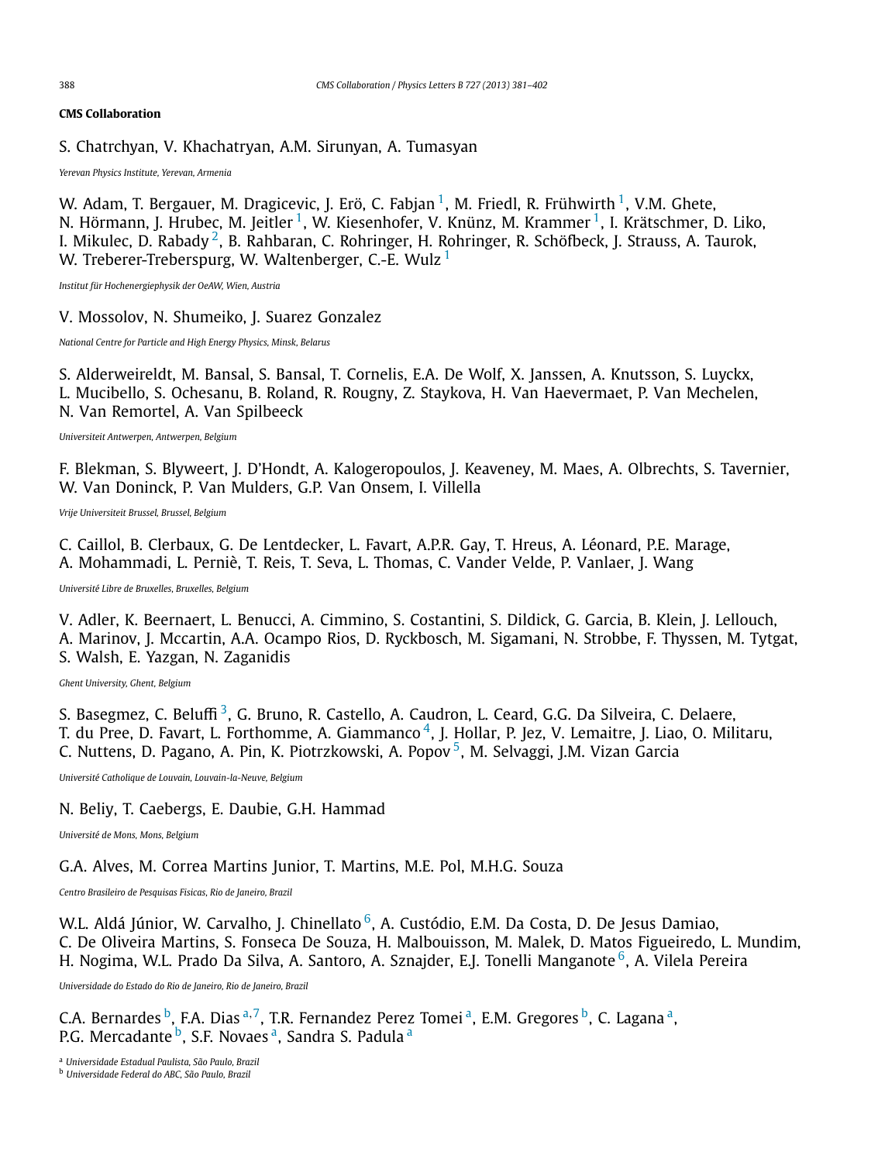#### <span id="page-7-0"></span>**CMS Collaboration**

#### S. Chatrchyan, V. Khachatryan, A.M. Sirunyan, A. Tumasyan

*Yerevan Physics Institute, Yerevan, Armenia*

W. Adam, T. Bergauer, M. Dragicevic, J. Erö, C. Fabjan<sup>[1](#page-20-0)</sup>, M. Friedl, R. Frühwirth<sup>1</sup>, V.M. Ghete, N. Hörmann, J. Hrubec, M. Jeitler <sup>1</sup>, W. Kiesenhofer, V. Knünz, M. Krammer <sup>1</sup>, I. Krätschmer, D. Liko, I. Mikulec, D. Rabady [2,](#page-20-0) B. Rahbaran, C. Rohringer, H. Rohringer, R. Schöfbeck, J. Strauss, A. Taurok, W. Treberer-Treberspurg, W. Waltenberger, C.-E. Wulz  $<sup>1</sup>$  $<sup>1</sup>$  $<sup>1</sup>$ </sup>

*Institut für Hochenergiephysik der OeAW, Wien, Austria*

#### V. Mossolov, N. Shumeiko, J. Suarez Gonzalez

*National Centre for Particle and High Energy Physics, Minsk, Belarus*

S. Alderweireldt, M. Bansal, S. Bansal, T. Cornelis, E.A. De Wolf, X. Janssen, A. Knutsson, S. Luyckx, L. Mucibello, S. Ochesanu, B. Roland, R. Rougny, Z. Staykova, H. Van Haevermaet, P. Van Mechelen, N. Van Remortel, A. Van Spilbeeck

*Universiteit Antwerpen, Antwerpen, Belgium*

F. Blekman, S. Blyweert, J. D'Hondt, A. Kalogeropoulos, J. Keaveney, M. Maes, A. Olbrechts, S. Tavernier, W. Van Doninck, P. Van Mulders, G.P. Van Onsem, I. Villella

*Vrije Universiteit Brussel, Brussel, Belgium*

C. Caillol, B. Clerbaux, G. De Lentdecker, L. Favart, A.P.R. Gay, T. Hreus, A. Léonard, P.E. Marage, A. Mohammadi, L. Perniè, T. Reis, T. Seva, L. Thomas, C. Vander Velde, P. Vanlaer, J. Wang

*Université Libre de Bruxelles, Bruxelles, Belgium*

V. Adler, K. Beernaert, L. Benucci, A. Cimmino, S. Costantini, S. Dildick, G. Garcia, B. Klein, J. Lellouch, A. Marinov, J. Mccartin, A.A. Ocampo Rios, D. Ryckbosch, M. Sigamani, N. Strobbe, F. Thyssen, M. Tytgat, S. Walsh, E. Yazgan, N. Zaganidis

*Ghent University, Ghent, Belgium*

S. Basegmez, C. Beluffi<sup>3</sup>, G. Bruno, R. Castello, A. Caudron, L. Ceard, G.G. Da Silveira, C. Delaere, T. du Pree, D. Favart, L. Forthomme, A. Giammanco<sup>[4](#page-20-0)</sup>, J. Hollar, P. Jez, V. Lemaitre, J. Liao, O. Militaru, C. Nuttens, D. Pagano, A. Pin, K. Piotrzkowski, A. Popov [5,](#page-20-0) M. Selvaggi, J.M. Vizan Garcia

*Université Catholique de Louvain, Louvain-la-Neuve, Belgium*

N. Beliy, T. Caebergs, E. Daubie, G.H. Hammad

*Université de Mons, Mons, Belgium*

G.A. Alves, M. Correa Martins Junior, T. Martins, M.E. Pol, M.H.G. Souza

*Centro Brasileiro de Pesquisas Fisicas, Rio de Janeiro, Brazil*

W.L. Aldá Júnior, W. Carvalho, J. Chinellato<sup>6</sup>, A. Custódio, E.M. Da Costa, D. De Jesus Damiao, C. De Oliveira Martins, S. Fonseca De Souza, H. Malbouisson, M. Malek, D. Matos Figueiredo, L. Mundim, H. Nogima, W.L. Prado Da Silva, A. Santoro, A. Sznajder, E.J. Tonelli Manganote<sup>6</sup>, A. Vilela Pereira

*Universidade do Estado do Rio de Janeiro, Rio de Janeiro, Brazil*

C.A. Bernardes <sup>b</sup>, F.A. Dias <sup>a, 7</sup>, T.R. Fernandez Perez Tomei<sup>a</sup>, E.M. Gregores <sup>b</sup>, C. Lagana<sup>a</sup>, P.G. Mercadante <sup>b</sup>, S.F. Novaes<sup>a</sup>, Sandra S. Padula<sup>a</sup>

<sup>a</sup> *Universidade Estadual Paulista, São Paulo, Brazil*

<sup>b</sup> *Universidade Federal do ABC, São Paulo, Brazil*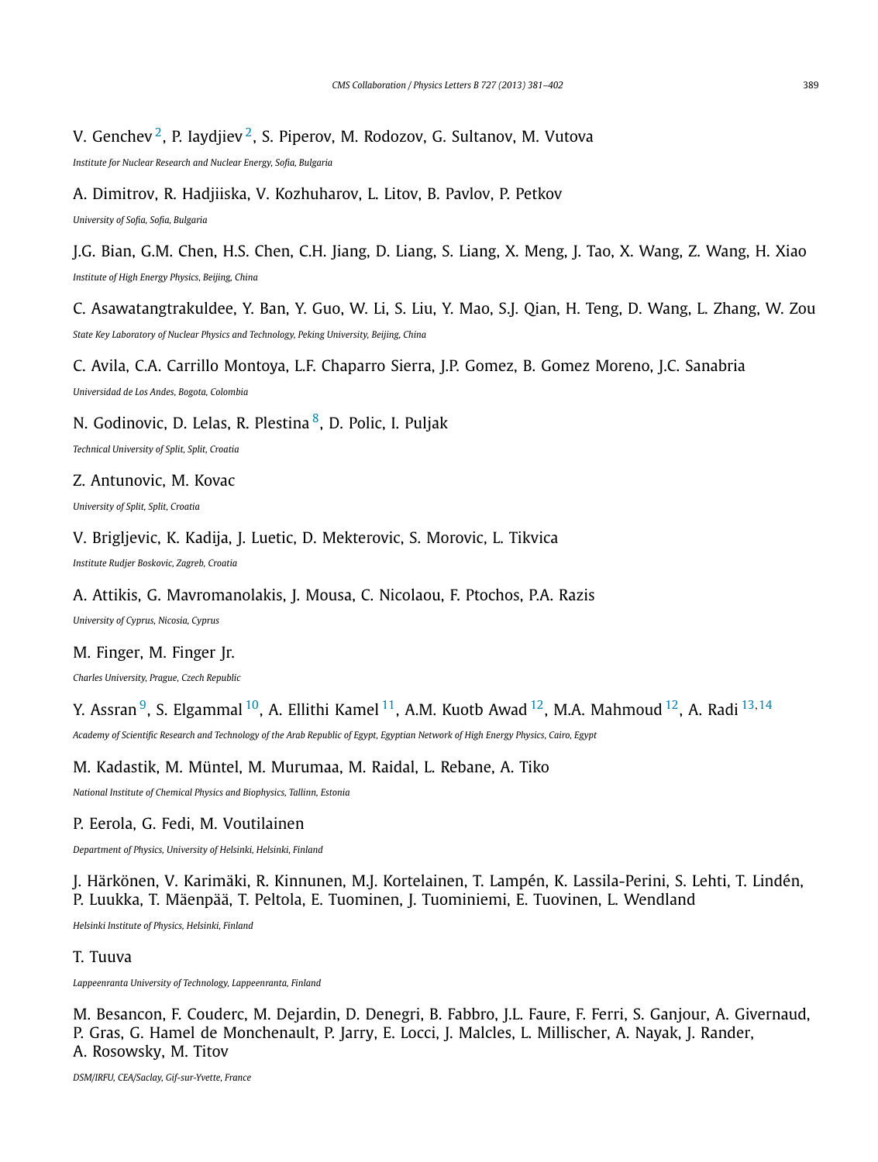### V. Genchev [2,](#page-20-0) P. Iaydjiev [2,](#page-20-0) S. Piperov, M. Rodozov, G. Sultanov, M. Vutova

*Institute for Nuclear Research and Nuclear Energy, Sofia, Bulgaria*

A. Dimitrov, R. Hadjiiska, V. Kozhuharov, L. Litov, B. Pavlov, P. Petkov

*University of Sofia, Sofia, Bulgaria*

J.G. Bian, G.M. Chen, H.S. Chen, C.H. Jiang, D. Liang, S. Liang, X. Meng, J. Tao, X. Wang, Z. Wang, H. Xiao *Institute of High Energy Physics, Beijing, China*

C. Asawatangtrakuldee, Y. Ban, Y. Guo, W. Li, S. Liu, Y. Mao, S.J. Qian, H. Teng, D. Wang, L. Zhang, W. Zou *State Key Laboratory of Nuclear Physics and Technology, Peking University, Beijing, China*

C. Avila, C.A. Carrillo Montoya, L.F. Chaparro Sierra, J.P. Gomez, B. Gomez Moreno, J.C. Sanabria

*Universidad de Los Andes, Bogota, Colombia*

N. Godinovic, D. Lelas, R. Plestina<sup>8</sup>, D. Polic, I. Puljak

*Technical University of Split, Split, Croatia*

Z. Antunovic, M. Kovac

*University of Split, Split, Croatia*

V. Brigljevic, K. Kadija, J. Luetic, D. Mekterovic, S. Morovic, L. Tikvica

*Institute Rudjer Boskovic, Zagreb, Croatia*

A. Attikis, G. Mavromanolakis, J. Mousa, C. Nicolaou, F. Ptochos, P.A. Razis

*University of Cyprus, Nicosia, Cyprus*

M. Finger, M. Finger Jr.

*Charles University, Prague, Czech Republic*

### Y. Assran [9,](#page-20-0) S. Elgammal [10,](#page-20-0) A. Ellithi Kamel [11,](#page-20-0) A.M. Kuotb Awad [12,](#page-20-0) M.A. Mahmoud [12,](#page-20-0) A. Radi [13](#page-20-0)*,*[14](#page-20-0)

*Academy of Scientific Research and Technology of the Arab Republic of Egypt, Egyptian Network of High Energy Physics, Cairo, Egypt*

M. Kadastik, M. Müntel, M. Murumaa, M. Raidal, L. Rebane, A. Tiko

*National Institute of Chemical Physics and Biophysics, Tallinn, Estonia*

### P. Eerola, G. Fedi, M. Voutilainen

*Department of Physics, University of Helsinki, Helsinki, Finland*

J. Härkönen, V. Karimäki, R. Kinnunen, M.J. Kortelainen, T. Lampén, K. Lassila-Perini, S. Lehti, T. Lindén, P. Luukka, T. Mäenpää, T. Peltola, E. Tuominen, J. Tuominiemi, E. Tuovinen, L. Wendland

*Helsinki Institute of Physics, Helsinki, Finland*

#### T. Tuuva

*Lappeenranta University of Technology, Lappeenranta, Finland*

M. Besancon, F. Couderc, M. Dejardin, D. Denegri, B. Fabbro, J.L. Faure, F. Ferri, S. Ganjour, A. Givernaud, P. Gras, G. Hamel de Monchenault, P. Jarry, E. Locci, J. Malcles, L. Millischer, A. Nayak, J. Rander, A. Rosowsky, M. Titov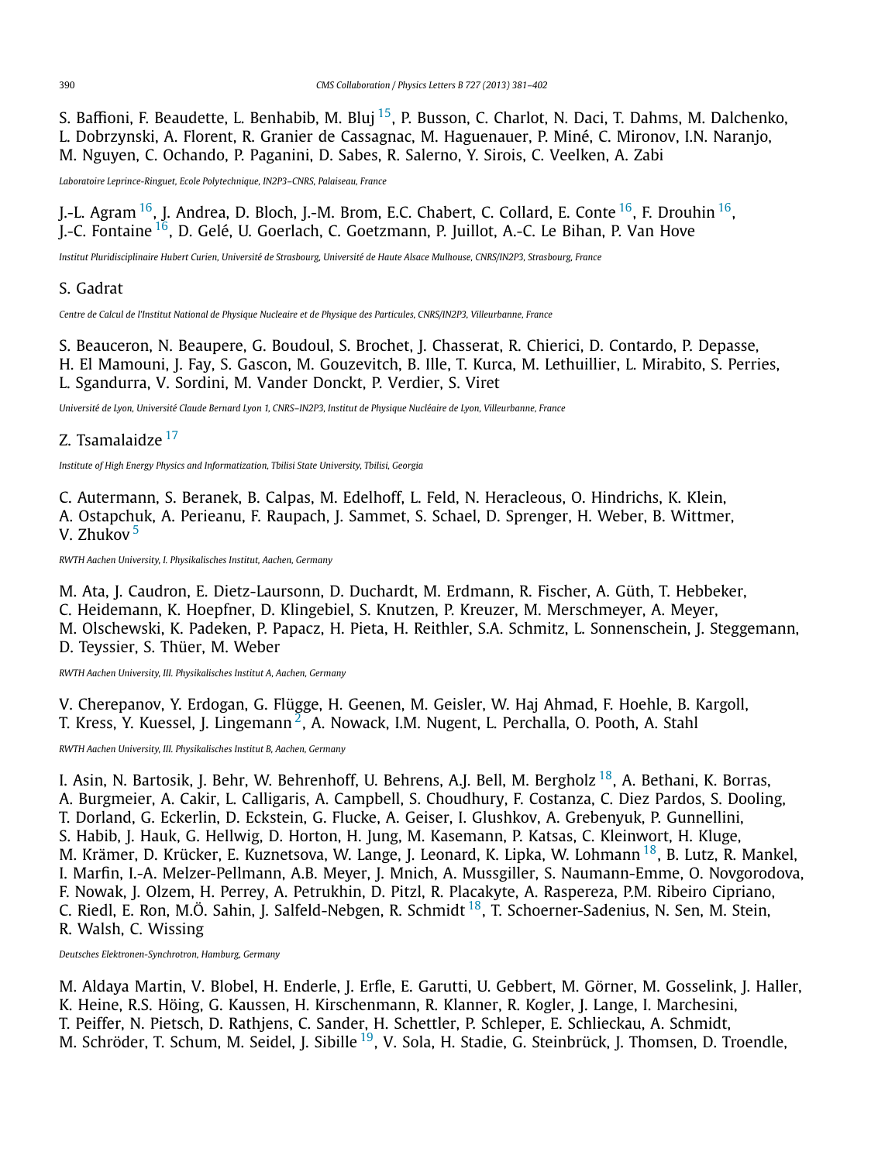S. Baffioni, F. Beaudette, L. Benhabib, M. Bluj <sup>15</sup>, P. Busson, C. Charlot, N. Daci, T. Dahms, M. Dalchenko, L. Dobrzynski, A. Florent, R. Granier de Cassagnac, M. Haguenauer, P. Miné, C. Mironov, I.N. Naranjo, M. Nguyen, C. Ochando, P. Paganini, D. Sabes, R. Salerno, Y. Sirois, C. Veelken, A. Zabi

*Laboratoire Leprince-Ringuet, Ecole Polytechnique, IN2P3–CNRS, Palaiseau, France*

J.-L. Agram <sup>[16](#page-20-0)</sup>, J. Andrea, D. Bloch, J.-M. Brom, E.C. Chabert, C. Collard, E. Conte <sup>16</sup>, F. Drouhin <sup>16</sup>, J.-C. Fontaine <sup>16</sup>, D. Gelé, U. Goerlach, C. Goetzmann, P. Juillot, A.-C. Le Bihan, P. Van Hove

*Institut Pluridisciplinaire Hubert Curien, Université de Strasbourg, Université de Haute Alsace Mulhouse, CNRS/IN2P3, Strasbourg, France*

### S. Gadrat

*Centre de Calcul de l'Institut National de Physique Nucleaire et de Physique des Particules, CNRS/IN2P3, Villeurbanne, France*

S. Beauceron, N. Beaupere, G. Boudoul, S. Brochet, J. Chasserat, R. Chierici, D. Contardo, P. Depasse, H. El Mamouni, J. Fay, S. Gascon, M. Gouzevitch, B. Ille, T. Kurca, M. Lethuillier, L. Mirabito, S. Perries, L. Sgandurra, V. Sordini, M. Vander Donckt, P. Verdier, S. Viret

*Université de Lyon, Université Claude Bernard Lyon 1, CNRS–IN2P3, Institut de Physique Nucléaire de Lyon, Villeurbanne, France*

### Z. Tsamalaidze<sup>[17](#page-20-0)</sup>

*Institute of High Energy Physics and Informatization, Tbilisi State University, Tbilisi, Georgia*

C. Autermann, S. Beranek, B. Calpas, M. Edelhoff, L. Feld, N. Heracleous, O. Hindrichs, K. Klein, A. Ostapchuk, A. Perieanu, F. Raupach, J. Sammet, S. Schael, D. Sprenger, H. Weber, B. Wittmer, V. Zhukov<sup>[5](#page-20-0)</sup>

*RWTH Aachen University, I. Physikalisches Institut, Aachen, Germany*

M. Ata, J. Caudron, E. Dietz-Laursonn, D. Duchardt, M. Erdmann, R. Fischer, A. Güth, T. Hebbeker, C. Heidemann, K. Hoepfner, D. Klingebiel, S. Knutzen, P. Kreuzer, M. Merschmeyer, A. Meyer, M. Olschewski, K. Padeken, P. Papacz, H. Pieta, H. Reithler, S.A. Schmitz, L. Sonnenschein, J. Steggemann, D. Teyssier, S. Thüer, M. Weber

*RWTH Aachen University, III. Physikalisches Institut A, Aachen, Germany*

V. Cherepanov, Y. Erdogan, G. Flügge, H. Geenen, M. Geisler, W. Haj Ahmad, F. Hoehle, B. Kargoll, T. Kress, Y. Kuessel, J. Lingemann<sup>2</sup>, A. Nowack, I.M. Nugent, L. Perchalla, O. Pooth, A. Stahl

*RWTH Aachen University, III. Physikalisches Institut B, Aachen, Germany*

I. Asin, N. Bartosik, J. Behr, W. Behrenhoff, U. Behrens, A.J. Bell, M. Bergholz [18](#page-20-0), A. Bethani, K. Borras, A. Burgmeier, A. Cakir, L. Calligaris, A. Campbell, S. Choudhury, F. Costanza, C. Diez Pardos, S. Dooling, T. Dorland, G. Eckerlin, D. Eckstein, G. Flucke, A. Geiser, I. Glushkov, A. Grebenyuk, P. Gunnellini, S. Habib, J. Hauk, G. Hellwig, D. Horton, H. Jung, M. Kasemann, P. Katsas, C. Kleinwort, H. Kluge, M. Krämer, D. Krücker, E. Kuznetsova, W. Lange, J. Leonard, K. Lipka, W. Lohmann [18,](#page-20-0) B. Lutz, R. Mankel, I. Marfin, I.-A. Melzer-Pellmann, A.B. Meyer, J. Mnich, A. Mussgiller, S. Naumann-Emme, O. Novgorodova, F. Nowak, J. Olzem, H. Perrey, A. Petrukhin, D. Pitzl, R. Placakyte, A. Raspereza, P.M. Ribeiro Cipriano, C. Riedl, E. Ron, M.Ö. Sahin, J. Salfeld-Nebgen, R. Schmidt [18,](#page-20-0) T. Schoerner-Sadenius, N. Sen, M. Stein, R. Walsh, C. Wissing

*Deutsches Elektronen-Synchrotron, Hamburg, Germany*

M. Aldaya Martin, V. Blobel, H. Enderle, J. Erfle, E. Garutti, U. Gebbert, M. Görner, M. Gosselink, J. Haller, K. Heine, R.S. Höing, G. Kaussen, H. Kirschenmann, R. Klanner, R. Kogler, J. Lange, I. Marchesini, T. Peiffer, N. Pietsch, D. Rathjens, C. Sander, H. Schettler, P. Schleper, E. Schlieckau, A. Schmidt, M. Schröder, T. Schum, M. Seidel, J. Sibille <sup>19</sup>, V. Sola, H. Stadie, G. Steinbrück, J. Thomsen, D. Troendle,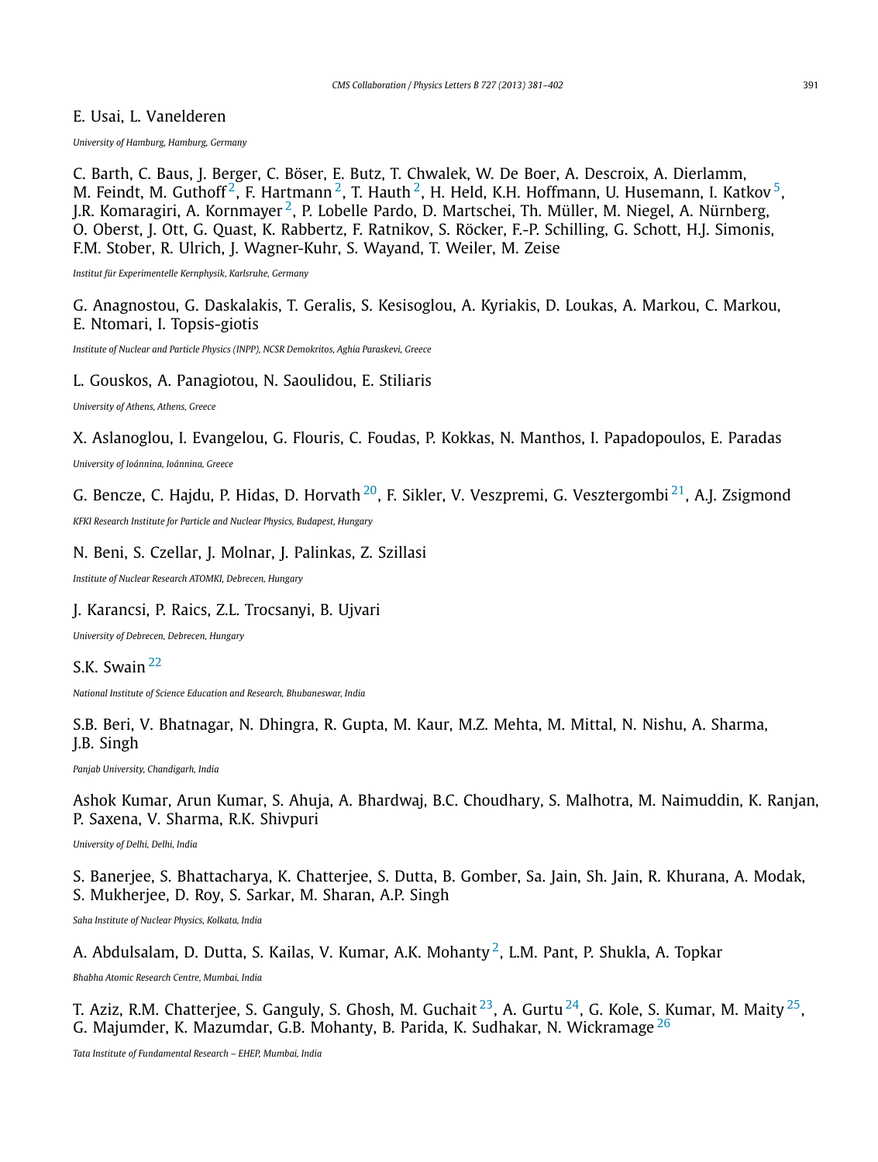#### E. Usai, L. Vanelderen

*University of Hamburg, Hamburg, Germany*

C. Barth, C. Baus, J. Berger, C. Böser, E. Butz, T. Chwalek, W. De Boer, A. Descroix, A. Dierlamm, M. Feindt, M. Guthoff<sup>2</sup>, F. Hartmann<sup>2</sup>, T. Hauth<sup>2</sup>, H. Held, K.H. Hoffmann, U. Husemann, I. Katkov<sup>5</sup>, J.R. Komaragiri, A. Kornmayer [2,](#page-20-0) P. Lobelle Pardo, D. Martschei, Th. Müller, M. Niegel, A. Nürnberg, O. Oberst, J. Ott, G. Quast, K. Rabbertz, F. Ratnikov, S. Röcker, F.-P. Schilling, G. Schott, H.J. Simonis, F.M. Stober, R. Ulrich, J. Wagner-Kuhr, S. Wayand, T. Weiler, M. Zeise

*Institut für Experimentelle Kernphysik, Karlsruhe, Germany*

G. Anagnostou, G. Daskalakis, T. Geralis, S. Kesisoglou, A. Kyriakis, D. Loukas, A. Markou, C. Markou, E. Ntomari, I. Topsis-giotis

*Institute of Nuclear and Particle Physics (INPP), NCSR Demokritos, Aghia Paraskevi, Greece*

#### L. Gouskos, A. Panagiotou, N. Saoulidou, E. Stiliaris

*University of Athens, Athens, Greece*

X. Aslanoglou, I. Evangelou, G. Flouris, C. Foudas, P. Kokkas, N. Manthos, I. Papadopoulos, E. Paradas

*University of Ioánnina, Ioánnina, Greece*

## G. Bencze, C. Hajdu, P. Hidas, D. Horvath<sup>20</sup>, F. Sikler, V. Veszpremi, G. Vesztergombi<sup>21</sup>, A.J. Zsigmond

*KFKI Research Institute for Particle and Nuclear Physics, Budapest, Hungary*

#### N. Beni, S. Czellar, J. Molnar, J. Palinkas, Z. Szillasi

*Institute of Nuclear Research ATOMKI, Debrecen, Hungary*

### J. Karancsi, P. Raics, Z.L. Trocsanyi, B. Ujvari

*University of Debrecen, Debrecen, Hungary*

#### S.K. Swain [22](#page-20-0)

*National Institute of Science Education and Research, Bhubaneswar, India*

### S.B. Beri, V. Bhatnagar, N. Dhingra, R. Gupta, M. Kaur, M.Z. Mehta, M. Mittal, N. Nishu, A. Sharma, J.B. Singh

*Panjab University, Chandigarh, India*

Ashok Kumar, Arun Kumar, S. Ahuja, A. Bhardwaj, B.C. Choudhary, S. Malhotra, M. Naimuddin, K. Ranjan, P. Saxena, V. Sharma, R.K. Shivpuri

*University of Delhi, Delhi, India*

S. Banerjee, S. Bhattacharya, K. Chatterjee, S. Dutta, B. Gomber, Sa. Jain, Sh. Jain, R. Khurana, A. Modak, S. Mukherjee, D. Roy, S. Sarkar, M. Sharan, A.P. Singh

*Saha Institute of Nuclear Physics, Kolkata, India*

A. Abdulsalam, D. Dutta, S. Kailas, V. Kumar, A.K. Mohanty [2](#page-20-0), L.M. Pant, P. Shukla, A. Topkar

*Bhabha Atomic Research Centre, Mumbai, India*

T. Aziz, R.M. Chatterjee, S. Ganguly, S. Ghosh, M. Guchait  $^{23}$ , A. Gurtu  $^{24}$ , G. Kole, S. Kumar, M. Maity  $^{25}$ , G. Majumder, K. Mazumdar, G.B. Mohanty, B. Parida, K. Sudhakar, N. Wickramage  $^{26}$  $^{26}$  $^{26}$ 

*Tata Institute of Fundamental Research – EHEP, Mumbai, India*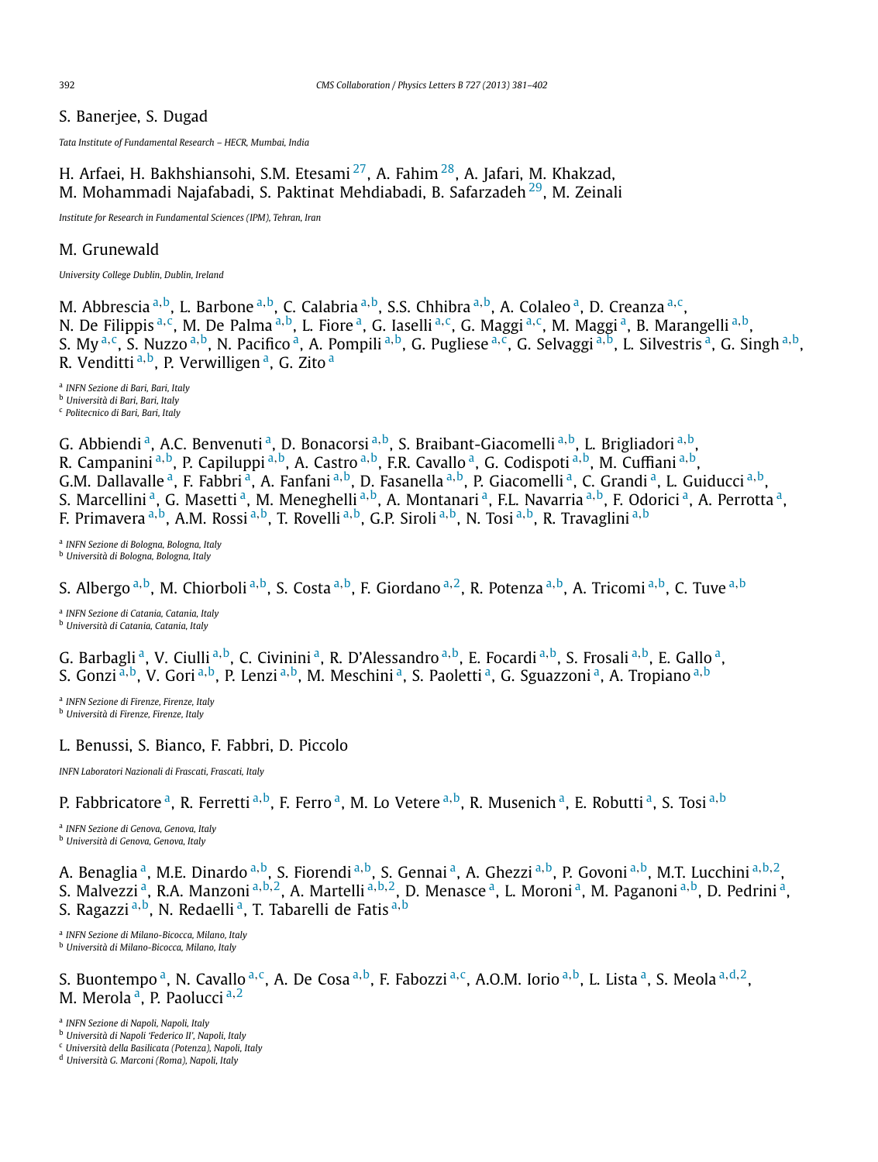### S. Banerjee, S. Dugad

*Tata Institute of Fundamental Research – HECR, Mumbai, India*

H. Arfaei, H. Bakhshiansohi, S.M. Etesami<sup>27</sup>, A. Fahim<sup>[28](#page-20-0)</sup>, A. Jafari, M. Khakzad, M. Mohammadi Najafabadi, S. Paktinat Mehdiabadi, B. Safarzadeh [29,](#page-20-0) M. Zeinali

*Institute for Research in Fundamental Sciences (IPM), Tehran, Iran*

#### M. Grunewald

*University College Dublin, Dublin, Ireland*

M. Abbrescia <sup>a</sup>*,*b, L. Barbone <sup>a</sup>*,*b, C. Calabria <sup>a</sup>*,*b, S.S. Chhibra <sup>a</sup>*,*b, A. Colaleo a, D. Creanza <sup>a</sup>*,*c, N. De Filippis <sup>a</sup>*,*c, M. De Palma <sup>a</sup>*,*b, L. Fiore a, G. Iaselli <sup>a</sup>*,*c, G. Maggi <sup>a</sup>*,*c, M. Maggi a, B. Marangelli <sup>a</sup>*,*b, S. My <sup>a</sup>*,*c, S. Nuzzo <sup>a</sup>*,*b, N. Pacifico a, A. Pompili <sup>a</sup>*,*b, G. Pugliese <sup>a</sup>*,*c, G. Selvaggi <sup>a</sup>*,*b, L. Silvestris a, G. Singh <sup>a</sup>*,*b, R. Venditti a, b, P. Verwilligen <sup>a</sup>, G. Zito <sup>a</sup>

<sup>a</sup> *INFN Sezione di Bari, Bari, Italy*

<sup>a</sup> *INFN Sezione di Bologna, Bologna, Italy* <sup>b</sup> *Università di Bologna, Bologna, Italy*

S. Albergo <sup>a</sup>*,*b, M. Chiorboli <sup>a</sup>*,*b, S. Costa <sup>a</sup>*,*b, F. Giordano <sup>a</sup>*,*[2,](#page-20-0) R. Potenza <sup>a</sup>*,*b, A. Tricomi <sup>a</sup>*,*b, C. Tuve <sup>a</sup>*,*<sup>b</sup>

<sup>a</sup> *INFN Sezione di Catania, Catania, Italy* <sup>b</sup> *Università di Catania, Catania, Italy*

G. Barbagli a, V. Ciulli <sup>a</sup>*,*b, C. Civinini a, R. D'Alessandro <sup>a</sup>*,*b, E. Focardi <sup>a</sup>*,*b, S. Frosali <sup>a</sup>*,*b, E. Gallo a, S. Gonzi <sup>a</sup>*,*b, V. Gori <sup>a</sup>*,*b, P. Lenzi <sup>a</sup>*,*b, M. Meschini a, S. Paoletti a, G. Sguazzoni a, A. Tropiano <sup>a</sup>*,*<sup>b</sup>

<sup>a</sup> *INFN Sezione di Firenze, Firenze, Italy* <sup>b</sup> *Università di Firenze, Firenze, Italy*

#### L. Benussi, S. Bianco, F. Fabbri, D. Piccolo

*INFN Laboratori Nazionali di Frascati, Frascati, Italy*

P. Fabbricatore <sup>a</sup>, R. Ferretti a, b, F. Ferro <sup>a</sup>, M. Lo Vetere a, b, R. Musenich <sup>a</sup>, E. Robutti <sup>a</sup>, S. Tosi a, b

<sup>a</sup> *INFN Sezione di Genova, Genova, Italy*

<sup>b</sup> *Università di Genova, Genova, Italy*

A. Benaglia a, M.E. Dinardo <sup>a</sup>*,*b, S. Fiorendi <sup>a</sup>*,*b, S. Gennai a, A. Ghezzi <sup>a</sup>*,*b, P. Govoni <sup>a</sup>*,*b, M.T. Lucchini <sup>a</sup>*,*b*,*[2,](#page-20-0) S. Malvezzi a, R.A. Manzoni <sup>a</sup>*,*b*,*[2,](#page-20-0) A. Martelli <sup>a</sup>*,*b*,*[2,](#page-20-0) D. Menasce a, L. Moroni a, M. Paganoni <sup>a</sup>*,*b, D. Pedrini a, S. Ragazzi <sup>a</sup>*,*b, N. Redaelli a, T. Tabarelli de Fatis <sup>a</sup>*,*<sup>b</sup>

<sup>a</sup> *INFN Sezione di Milano-Bicocca, Milano, Italy* <sup>b</sup> *Università di Milano-Bicocca, Milano, Italy*

S. Buontempo a, N. Cavallo <sup>a</sup>*,*c, A. De Cosa <sup>a</sup>*,*b, F. Fabozzi <sup>a</sup>*,*c, A.O.M. Iorio <sup>a</sup>*,*b, L. Lista a, S. Meola <sup>a</sup>*,*d*,*[2,](#page-20-0) M. Merola a, P. Paolucci <sup>a</sup>*,*[2](#page-20-0)

<sup>a</sup> *INFN Sezione di Napoli, Napoli, Italy*

- <sup>b</sup> *Università di Napoli 'Federico II', Napoli, Italy*
- <sup>c</sup> *Università della Basilicata (Potenza), Napoli, Italy*

<sup>d</sup> *Università G. Marconi (Roma), Napoli, Italy*

<sup>b</sup> *Università di Bari, Bari, Italy*

<sup>c</sup> *Politecnico di Bari, Bari, Italy*

G. Abbiendi a, A.C. Benvenuti a, D. Bonacorsi <sup>a</sup>*,*b, S. Braibant-Giacomelli <sup>a</sup>*,*b, L. Brigliadori <sup>a</sup>*,*b, R. Campanini <sup>a</sup>*,*b, P. Capiluppi <sup>a</sup>*,*b, A. Castro <sup>a</sup>*,*b, F.R. Cavallo a, G. Codispoti <sup>a</sup>*,*b, M. Cuffiani <sup>a</sup>*,*b, G.M. Dallavalle<sup>a</sup>, F. Fabbri<sup>a</sup>, A. Fanfani<sup>a,b</sup>, D. Fasanella a,b, P. Giacomelli<sup>a</sup>, C. Grandi<sup>a</sup>, L. Guiduccia,b, S. Marcellini<sup>a</sup>, G. Masetti<sup>a</sup>, M. Meneghelli<sup>a,b</sup>, A. Montanari<sup>a</sup>, F.L. Navarria<sup>a,b</sup>, F. Odorici<sup>a</sup>, A. Perrotta<sup>a</sup>, F. Primavera <sup>a</sup>*,*b, A.M. Rossi <sup>a</sup>*,*b, T. Rovelli <sup>a</sup>*,*b, G.P. Siroli <sup>a</sup>*,*b, N. Tosi <sup>a</sup>*,*b, R. Travaglini <sup>a</sup>*,*<sup>b</sup>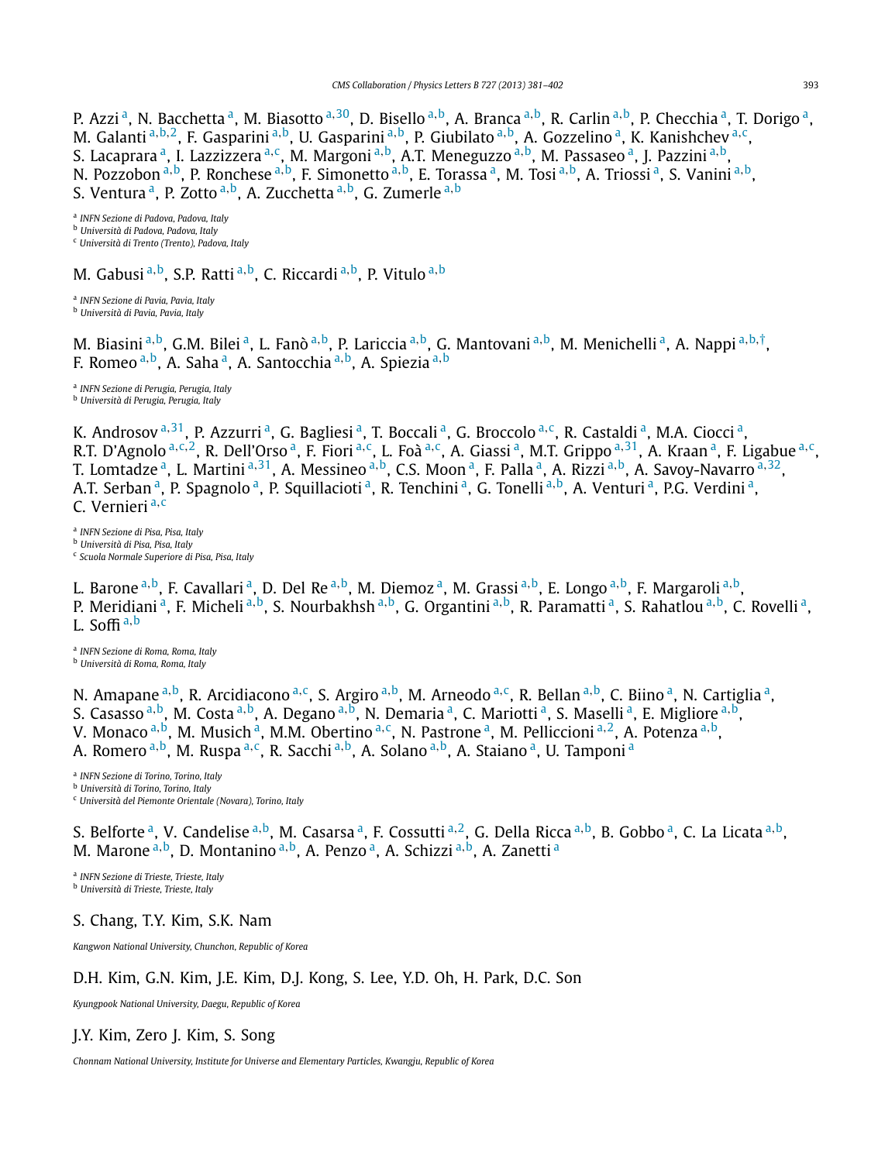P. Azzi a, N. Bacchetta a, M. Biasotto <sup>a</sup>*,*[30,](#page-20-0) D. Bisello <sup>a</sup>*,*b, A. Branca <sup>a</sup>*,*b, R. Carlin <sup>a</sup>*,*b, P. Checchia a, T. Dorigo a, M. Galanti <sup>a</sup>*,*b*,*[2,](#page-20-0) F. Gasparini <sup>a</sup>*,*b, U. Gasparini <sup>a</sup>*,*b, P. Giubilato <sup>a</sup>*,*b, A. Gozzelino a, K. Kanishchev <sup>a</sup>*,*c, S. Lacaprara a, I. Lazzizzera <sup>a</sup>*,*c, M. Margoni <sup>a</sup>*,*b, A.T. Meneguzzo <sup>a</sup>*,*b, M. Passaseo a, J. Pazzini <sup>a</sup>*,*b, N. Pozzobon <sup>a</sup>*,*b, P. Ronchese <sup>a</sup>*,*b, F. Simonetto <sup>a</sup>*,*b, E. Torassa a, M. Tosi <sup>a</sup>*,*b, A. Triossi a, S. Vanini <sup>a</sup>*,*b, S. Ventura a, P. Zotto <sup>a</sup>*,*b, A. Zucchetta <sup>a</sup>*,*b, G. Zumerle <sup>a</sup>*,*<sup>b</sup>

<sup>a</sup> *INFN Sezione di Padova, Padova, Italy*

<sup>b</sup> *Università di Padova, Padova, Italy*

<sup>c</sup> *Università di Trento (Trento), Padova, Italy*

M. Gabusi <sup>a</sup>*,*b, S.P. Ratti <sup>a</sup>*,*b, C. Riccardi <sup>a</sup>*,*b, P. Vitulo <sup>a</sup>*,*<sup>b</sup>

<sup>a</sup> *INFN Sezione di Pavia, Pavia, Italy*

<sup>b</sup> *Università di Pavia, Pavia, Italy*

M. Biasini <sup>a</sup>*,*b, G.M. Bilei a, L. Fanò <sup>a</sup>*,*b, P. Lariccia <sup>a</sup>*,*b, G. Mantovani <sup>a</sup>*,*b, M. Menichelli a, A. Nappi <sup>a</sup>*,*b*,*[†,](#page-20-0) F. Romeo <sup>a</sup>*,*b, A. Saha a, A. Santocchia <sup>a</sup>*,*b, A. Spiezia <sup>a</sup>*,*<sup>b</sup>

<sup>a</sup> *INFN Sezione di Perugia, Perugia, Italy*

<sup>b</sup> *Università di Perugia, Perugia, Italy*

K. Androsov a, [31,](#page-20-0) P. Azzurri <sup>a</sup>, G. Bagliesi <sup>a</sup>, T. Boccali <sup>a</sup>, G. Broccolo a,c, R. Castaldi <sup>a</sup>, M.A. Ciocci <sup>a</sup>, R.T. D'Agnolo <sup>a</sup>*,*c*,*[2,](#page-20-0) R. Dell'Orso a, F. Fiori <sup>a</sup>*,*c, L. Foà <sup>a</sup>*,*c, A. Giassi a, M.T. Grippo <sup>a</sup>*,*[31](#page-20-0), A. Kraan a, F. Ligabue <sup>a</sup>*,*c, T. Lomtadze a, L. Martini <sup>a</sup>*,*[31,](#page-20-0) A. Messineo <sup>a</sup>*,*b, C.S. Moon a, F. Palla a, A. Rizzi <sup>a</sup>*,*b, A. Savoy-Navarro <sup>a</sup>*,*[32,](#page-20-0) A.T. Serban <sup>a</sup>, P. Spagnolo <sup>a</sup>, P. Squillacioti <sup>a</sup>, R. Tenchini <sup>a</sup>, G. Tonelli <sup>a, b</sup>, A. Venturi <sup>a</sup>, P.G. Verdini <sup>a</sup>, C. Vernieri <sup>a</sup>*,*<sup>c</sup>

<sup>a</sup> *INFN Sezione di Pisa, Pisa, Italy*

<sup>b</sup> *Università di Pisa, Pisa, Italy*

<sup>c</sup> *Scuola Normale Superiore di Pisa, Pisa, Italy*

L. Barone a,b, F. Cavallari <sup>a</sup>, D. Del Re a,b, M. Diemoz <sup>a</sup>, M. Grassi a,b, E. Longo a,b, F. Margaroli a,b, P. Meridiani<sup>a</sup>, F. Micheli<sup>a,b</sup>, S. Nourbakhsh a,b, G. Organtini a,b, R. Paramatti a, S. Rahatlou a,b, C. Rovelli<sup>a</sup>, L. Soffi <sup>a</sup>*,*<sup>b</sup>

<sup>a</sup> *INFN Sezione di Roma, Roma, Italy* <sup>b</sup> *Università di Roma, Roma, Italy*

N. Amapane <sup>a</sup>*,*b, R. Arcidiacono <sup>a</sup>*,*c, S. Argiro <sup>a</sup>*,*b, M. Arneodo <sup>a</sup>*,*c, R. Bellan <sup>a</sup>*,*b, C. Biino a, N. Cartiglia a, S. Casasso <sup>a</sup>*,*b, M. Costa <sup>a</sup>*,*b, A. Degano <sup>a</sup>*,*b, N. Demaria a, C. Mariotti a, S. Maselli a, E. Migliore <sup>a</sup>*,*b, V. Monaco <sup>a</sup>*,*b, M. Musich a, M.M. Obertino <sup>a</sup>*,*c, N. Pastrone a, M. Pelliccioni <sup>a</sup>*,*[2,](#page-20-0) A. Potenza <sup>a</sup>*,*b, A. Romero <sup>a</sup>*,*b, M. Ruspa <sup>a</sup>*,*c, R. Sacchi <sup>a</sup>*,*b, A. Solano <sup>a</sup>*,*b, A. Staiano a, U. Tamponi <sup>a</sup>

<sup>a</sup> *INFN Sezione di Torino, Torino, Italy*

<sup>b</sup> *Università di Torino, Torino, Italy*

<sup>c</sup> *Università del Piemonte Orientale (Novara), Torino, Italy*

S. Belforte a, V. Candelise <sup>a</sup>*,*b, M. Casarsa a, F. Cossutti <sup>a</sup>*,*[2,](#page-20-0) G. Della Ricca <sup>a</sup>*,*b, B. Gobbo a, C. La Licata <sup>a</sup>*,*b, M. Marone <sup>a</sup>*,*b, D. Montanino <sup>a</sup>*,*b, A. Penzo a, A. Schizzi <sup>a</sup>*,*b, A. Zanetti <sup>a</sup>

<sup>a</sup> *INFN Sezione di Trieste, Trieste, Italy* <sup>b</sup> *Università di Trieste, Trieste, Italy*

#### S. Chang, T.Y. Kim, S.K. Nam

*Kangwon National University, Chunchon, Republic of Korea*

#### D.H. Kim, G.N. Kim, J.E. Kim, D.J. Kong, S. Lee, Y.D. Oh, H. Park, D.C. Son

*Kyungpook National University, Daegu, Republic of Korea*

J.Y. Kim, Zero J. Kim, S. Song

*Chonnam National University, Institute for Universe and Elementary Particles, Kwangju, Republic of Korea*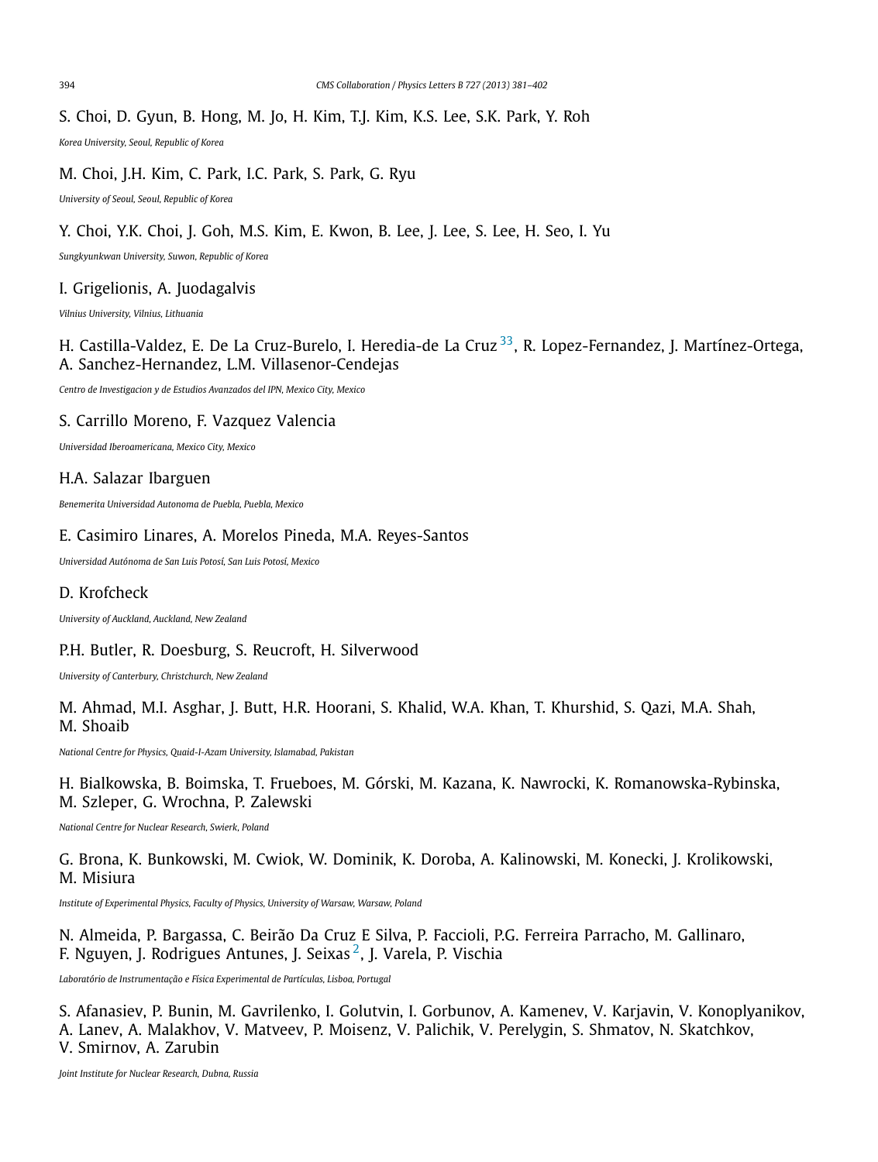### S. Choi, D. Gyun, B. Hong, M. Jo, H. Kim, T.J. Kim, K.S. Lee, S.K. Park, Y. Roh

*Korea University, Seoul, Republic of Korea*

### M. Choi, J.H. Kim, C. Park, I.C. Park, S. Park, G. Ryu

*University of Seoul, Seoul, Republic of Korea*

### Y. Choi, Y.K. Choi, J. Goh, M.S. Kim, E. Kwon, B. Lee, J. Lee, S. Lee, H. Seo, I. Yu

*Sungkyunkwan University, Suwon, Republic of Korea*

### I. Grigelionis, A. Juodagalvis

*Vilnius University, Vilnius, Lithuania*

### H. Castilla-Valdez, E. De La Cruz-Burelo, I. Heredia-de La Cruz<sup>[33](#page-20-0)</sup>, R. Lopez-Fernandez, J. Martínez-Ortega, A. Sanchez-Hernandez, L.M. Villasenor-Cendejas

*Centro de Investigacion y de Estudios Avanzados del IPN, Mexico City, Mexico*

#### S. Carrillo Moreno, F. Vazquez Valencia

*Universidad Iberoamericana, Mexico City, Mexico*

### H.A. Salazar Ibarguen

*Benemerita Universidad Autonoma de Puebla, Puebla, Mexico*

### E. Casimiro Linares, A. Morelos Pineda, M.A. Reyes-Santos

*Universidad Autónoma de San Luis Potosí, San Luis Potosí, Mexico*

### D. Krofcheck

*University of Auckland, Auckland, New Zealand*

### P.H. Butler, R. Doesburg, S. Reucroft, H. Silverwood

*University of Canterbury, Christchurch, New Zealand*

### M. Ahmad, M.I. Asghar, J. Butt, H.R. Hoorani, S. Khalid, W.A. Khan, T. Khurshid, S. Qazi, M.A. Shah, M. Shoaib

*National Centre for Physics, Quaid-I-Azam University, Islamabad, Pakistan*

H. Bialkowska, B. Boimska, T. Frueboes, M. Górski, M. Kazana, K. Nawrocki, K. Romanowska-Rybinska, M. Szleper, G. Wrochna, P. Zalewski

*National Centre for Nuclear Research, Swierk, Poland*

G. Brona, K. Bunkowski, M. Cwiok, W. Dominik, K. Doroba, A. Kalinowski, M. Konecki, J. Krolikowski, M. Misiura

*Institute of Experimental Physics, Faculty of Physics, University of Warsaw, Warsaw, Poland*

N. Almeida, P. Bargassa, C. Beirão Da Cruz E Silva, P. Faccioli, P.G. Ferreira Parracho, M. Gallinaro, F. Nguyen, J. Rodrigues Antunes, J. Seixas [2,](#page-20-0) J. Varela, P. Vischia

*Laboratório de Instrumentação e Física Experimental de Partículas, Lisboa, Portugal*

S. Afanasiev, P. Bunin, M. Gavrilenko, I. Golutvin, I. Gorbunov, A. Kamenev, V. Karjavin, V. Konoplyanikov, A. Lanev, A. Malakhov, V. Matveev, P. Moisenz, V. Palichik, V. Perelygin, S. Shmatov, N. Skatchkov, V. Smirnov, A. Zarubin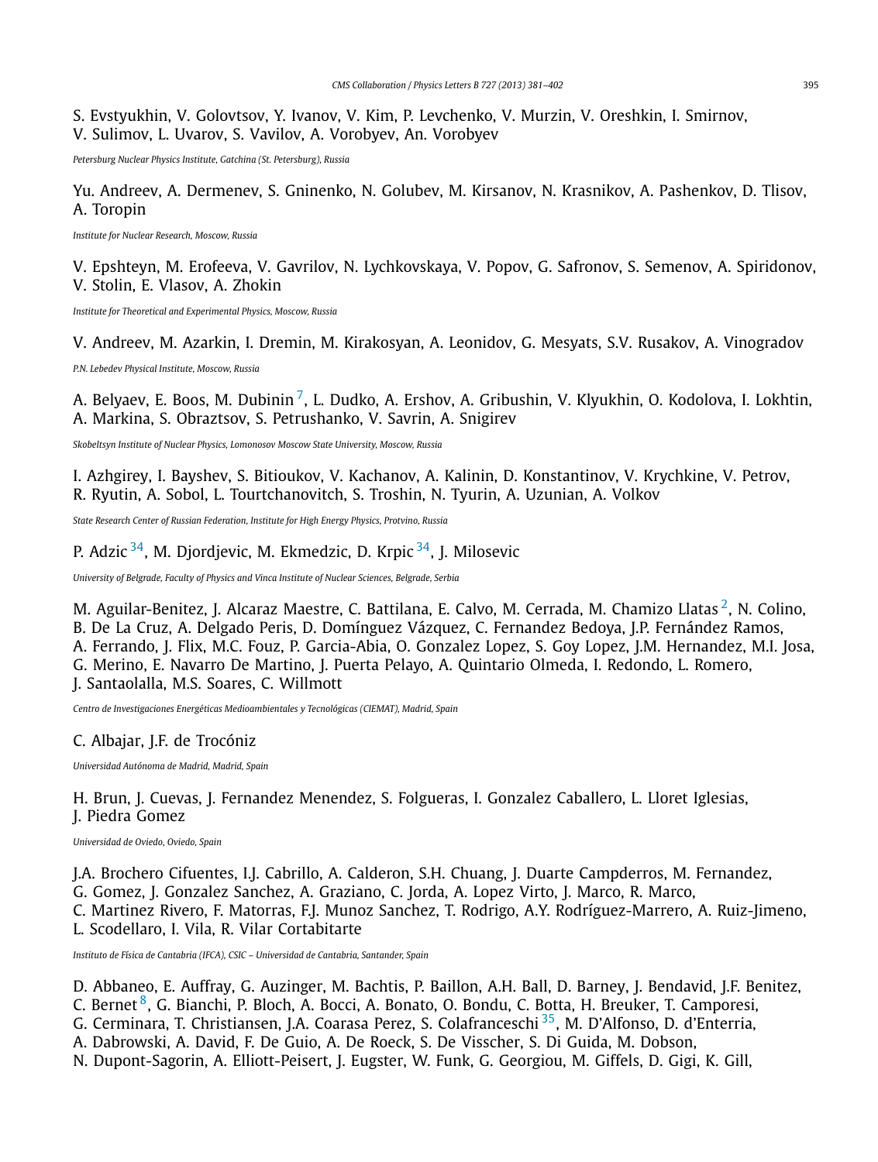S. Evstyukhin, V. Golovtsov, Y. Ivanov, V. Kim, P. Levchenko, V. Murzin, V. Oreshkin, I. Smirnov, V. Sulimov, L. Uvarov, S. Vavilov, A. Vorobyev, An. Vorobyev

*Petersburg Nuclear Physics Institute, Gatchina (St. Petersburg), Russia*

Yu. Andreev, A. Dermenev, S. Gninenko, N. Golubev, M. Kirsanov, N. Krasnikov, A. Pashenkov, D. Tlisov, A. Toropin

*Institute for Nuclear Research, Moscow, Russia*

V. Epshteyn, M. Erofeeva, V. Gavrilov, N. Lychkovskaya, V. Popov, G. Safronov, S. Semenov, A. Spiridonov, V. Stolin, E. Vlasov, A. Zhokin

*Institute for Theoretical and Experimental Physics, Moscow, Russia*

V. Andreev, M. Azarkin, I. Dremin, M. Kirakosyan, A. Leonidov, G. Mesyats, S.V. Rusakov, A. Vinogradov

*P.N. Lebedev Physical Institute, Moscow, Russia*

A. Belyaev, E. Boos, M. Dubinin<sup>7</sup>, L. Dudko, A. Ershov, A. Gribushin, V. Klyukhin, O. Kodolova, I. Lokhtin, A. Markina, S. Obraztsov, S. Petrushanko, V. Savrin, A. Snigirev

*Skobeltsyn Institute of Nuclear Physics, Lomonosov Moscow State University, Moscow, Russia*

I. Azhgirey, I. Bayshev, S. Bitioukov, V. Kachanov, A. Kalinin, D. Konstantinov, V. Krychkine, V. Petrov, R. Ryutin, A. Sobol, L. Tourtchanovitch, S. Troshin, N. Tyurin, A. Uzunian, A. Volkov

*State Research Center of Russian Federation, Institute for High Energy Physics, Protvino, Russia*

P. Adzic  $34$ , M. Djordjevic, M. Ekmedzic, D. Krpic  $34$ , J. Milosevic

*University of Belgrade, Faculty of Physics and Vinca Institute of Nuclear Sciences, Belgrade, Serbia*

M. Aguilar-Benitez, J. Alcaraz Maestre, C. Battilana, E. Calvo, M. Cerrada, M. Chamizo Llatas<sup>2</sup>, N. Colino. B. De La Cruz, A. Delgado Peris, D. Domínguez Vázquez, C. Fernandez Bedoya, J.P. Fernández Ramos, A. Ferrando, J. Flix, M.C. Fouz, P. Garcia-Abia, O. Gonzalez Lopez, S. Goy Lopez, J.M. Hernandez, M.I. Josa, G. Merino, E. Navarro De Martino, J. Puerta Pelayo, A. Quintario Olmeda, I. Redondo, L. Romero, J. Santaolalla, M.S. Soares, C. Willmott

*Centro de Investigaciones Energéticas Medioambientales y Tecnológicas (CIEMAT), Madrid, Spain*

#### C. Albajar, J.F. de Trocóniz

*Universidad Autónoma de Madrid, Madrid, Spain*

H. Brun, J. Cuevas, J. Fernandez Menendez, S. Folgueras, I. Gonzalez Caballero, L. Lloret Iglesias, J. Piedra Gomez

*Universidad de Oviedo, Oviedo, Spain*

J.A. Brochero Cifuentes, I.J. Cabrillo, A. Calderon, S.H. Chuang, J. Duarte Campderros, M. Fernandez, G. Gomez, J. Gonzalez Sanchez, A. Graziano, C. Jorda, A. Lopez Virto, J. Marco, R. Marco, C. Martinez Rivero, F. Matorras, F.J. Munoz Sanchez, T. Rodrigo, A.Y. Rodríguez-Marrero, A. Ruiz-Jimeno, L. Scodellaro, I. Vila, R. Vilar Cortabitarte

*Instituto de Física de Cantabria (IFCA), CSIC – Universidad de Cantabria, Santander, Spain*

D. Abbaneo, E. Auffray, G. Auzinger, M. Bachtis, P. Baillon, A.H. Ball, D. Barney, J. Bendavid, J.F. Benitez,

- C. Bernet [8,](#page-20-0) G. Bianchi, P. Bloch, A. Bocci, A. Bonato, O. Bondu, C. Botta, H. Breuker, T. Camporesi,
- G. Cerminara, T. Christiansen, J.A. Coarasa Perez, S. Colafranceschi [35,](#page-20-0) M. D'Alfonso, D. d'Enterria,
- A. Dabrowski, A. David, F. De Guio, A. De Roeck, S. De Visscher, S. Di Guida, M. Dobson,
- N. Dupont-Sagorin, A. Elliott-Peisert, J. Eugster, W. Funk, G. Georgiou, M. Giffels, D. Gigi, K. Gill,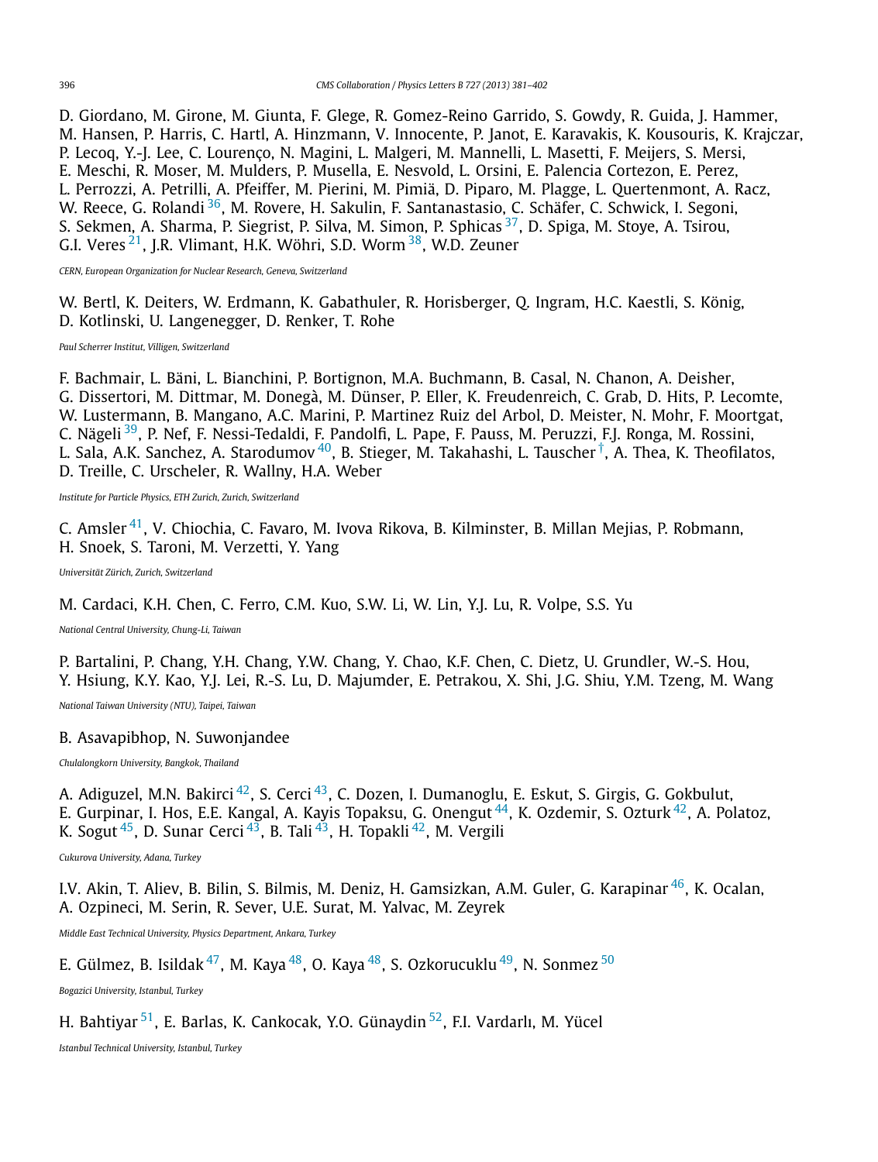D. Giordano, M. Girone, M. Giunta, F. Glege, R. Gomez-Reino Garrido, S. Gowdy, R. Guida, J. Hammer, M. Hansen, P. Harris, C. Hartl, A. Hinzmann, V. Innocente, P. Janot, E. Karavakis, K. Kousouris, K. Krajczar, P. Lecoq, Y.-J. Lee, C. Lourenço, N. Magini, L. Malgeri, M. Mannelli, L. Masetti, F. Meijers, S. Mersi, E. Meschi, R. Moser, M. Mulders, P. Musella, E. Nesvold, L. Orsini, E. Palencia Cortezon, E. Perez, L. Perrozzi, A. Petrilli, A. Pfeiffer, M. Pierini, M. Pimiä, D. Piparo, M. Plagge, L. Quertenmont, A. Racz, W. Reece, G. Rolandi<sup>[36](#page-20-0)</sup>, M. Rovere, H. Sakulin, F. Santanastasio, C. Schäfer, C. Schwick, I. Segoni, S. Sekmen, A. Sharma, P. Siegrist, P. Silva, M. Simon, P. Sphicas [37,](#page-20-0) D. Spiga, M. Stoye, A. Tsirou, G.I. Veres  $21$ , J.R. Vlimant, H.K. Wöhri, S.D. Worm  $38$ , W.D. Zeuner

*CERN, European Organization for Nuclear Research, Geneva, Switzerland*

W. Bertl, K. Deiters, W. Erdmann, K. Gabathuler, R. Horisberger, Q. Ingram, H.C. Kaestli, S. König, D. Kotlinski, U. Langenegger, D. Renker, T. Rohe

*Paul Scherrer Institut, Villigen, Switzerland*

F. Bachmair, L. Bäni, L. Bianchini, P. Bortignon, M.A. Buchmann, B. Casal, N. Chanon, A. Deisher, G. Dissertori, M. Dittmar, M. Donegà, M. Dünser, P. Eller, K. Freudenreich, C. Grab, D. Hits, P. Lecomte, W. Lustermann, B. Mangano, A.C. Marini, P. Martinez Ruiz del Arbol, D. Meister, N. Mohr, F. Moortgat, C. Nägeli [39,](#page-21-0) P. Nef, F. Nessi-Tedaldi, F. Pandolfi, L. Pape, F. Pauss, M. Peruzzi, F.J. Ronga, M. Rossini, L. Sala, A.K. Sanchez, A. Starodumov<sup>[40](#page-21-0)</sup>, B. Stieger, M. Takahashi, L. Tauscher<sup>†</sup>, A. Thea, K. Theofilatos, D. Treille, C. Urscheler, R. Wallny, H.A. Weber

*Institute for Particle Physics, ETH Zurich, Zurich, Switzerland*

C. Amsler [41,](#page-21-0) V. Chiochia, C. Favaro, M. Ivova Rikova, B. Kilminster, B. Millan Mejias, P. Robmann, H. Snoek, S. Taroni, M. Verzetti, Y. Yang

*Universität Zürich, Zurich, Switzerland*

M. Cardaci, K.H. Chen, C. Ferro, C.M. Kuo, S.W. Li, W. Lin, Y.J. Lu, R. Volpe, S.S. Yu

*National Central University, Chung-Li, Taiwan*

P. Bartalini, P. Chang, Y.H. Chang, Y.W. Chang, Y. Chao, K.F. Chen, C. Dietz, U. Grundler, W.-S. Hou, Y. Hsiung, K.Y. Kao, Y.J. Lei, R.-S. Lu, D. Majumder, E. Petrakou, X. Shi, J.G. Shiu, Y.M. Tzeng, M. Wang

*National Taiwan University (NTU), Taipei, Taiwan*

#### B. Asavapibhop, N. Suwonjandee

*Chulalongkorn University, Bangkok, Thailand*

A. Adiguzel, M.N. Bakirci<sup>42</sup>, S. Cerci<sup>43</sup>, C. Dozen, I. Dumanoglu, E. Eskut, S. Girgis, G. Gokbulut, E. Gurpinar, I. Hos, E.E. Kangal, A. Kayis Topaksu, G. Onengut [44,](#page-21-0) K. Ozdemir, S. Ozturk [42](#page-21-0), A. Polatoz, K. Sogut  $45$ , D. Sunar Cerci  $43$ , B. Tali  $43$ , H. Topakli  $42$ , M. Vergili

*Cukurova University, Adana, Turkey*

I.V. Akin, T. Aliev, B. Bilin, S. Bilmis, M. Deniz, H. Gamsizkan, A.M. Guler, G. Karapinar <sup>46</sup>, K. Ocalan, A. Ozpineci, M. Serin, R. Sever, U.E. Surat, M. Yalvac, M. Zeyrek

*Middle East Technical University, Physics Department, Ankara, Turkey*

E. Gülmez, B. Isildak  $47$ , M. Kaya  $48$ , O. Kaya  $48$ , S. Ozkorucuklu  $49$ , N. Sonmez  $50$ 

*Bogazici University, Istanbul, Turkey*

H. Bahtiyar [51,](#page-21-0) E. Barlas, K. Cankocak, Y.O. Günaydin [52,](#page-21-0) F.I. Vardarlı, M. Yücel

*Istanbul Technical University, Istanbul, Turkey*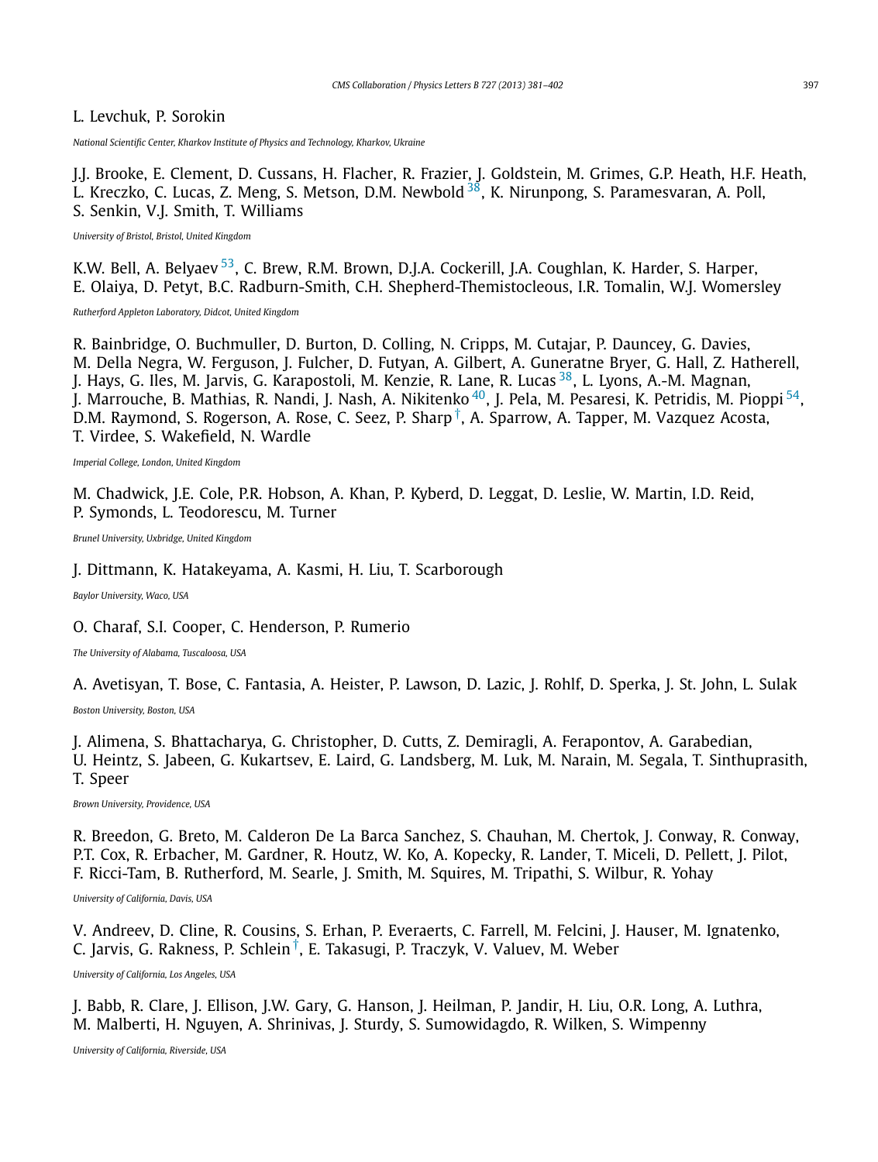#### L. Levchuk, P. Sorokin

*National Scientific Center, Kharkov Institute of Physics and Technology, Kharkov, Ukraine*

J.J. Brooke, E. Clement, D. Cussans, H. Flacher, R. Frazier, J. Goldstein, M. Grimes, G.P. Heath, H.F. Heath, L. Kreczko, C. Lucas, Z. Meng, S. Metson, D.M. Newbold <sup>38</sup>, K. Nirunpong, S. Paramesvaran, A. Poll, S. Senkin, V.J. Smith, T. Williams

*University of Bristol, Bristol, United Kingdom*

K.W. Bell, A. Belyaev<sup>53</sup>, C. Brew, R.M. Brown, D.J.A. Cockerill, J.A. Coughlan, K. Harder, S. Harper, E. Olaiya, D. Petyt, B.C. Radburn-Smith, C.H. Shepherd-Themistocleous, I.R. Tomalin, W.J. Womersley

*Rutherford Appleton Laboratory, Didcot, United Kingdom*

R. Bainbridge, O. Buchmuller, D. Burton, D. Colling, N. Cripps, M. Cutajar, P. Dauncey, G. Davies, M. Della Negra, W. Ferguson, J. Fulcher, D. Futyan, A. Gilbert, A. Guneratne Bryer, G. Hall, Z. Hatherell, J. Hays, G. Iles, M. Jarvis, G. Karapostoli, M. Kenzie, R. Lane, R. Lucas [38,](#page-21-0) L. Lyons, A.-M. Magnan, J. Marrouche, B. Mathias, R. Nandi, J. Nash, A. Nikitenko [40,](#page-21-0) J. Pela, M. Pesaresi, K. Petridis, M. Pioppi [54,](#page-21-0) D.M. Raymond, S. Rogerson, A. Rose, C. Seez, P. Sharp [†](#page-20-0), A. Sparrow, A. Tapper, M. Vazquez Acosta, T. Virdee, S. Wakefield, N. Wardle

*Imperial College, London, United Kingdom*

M. Chadwick, J.E. Cole, P.R. Hobson, A. Khan, P. Kyberd, D. Leggat, D. Leslie, W. Martin, I.D. Reid, P. Symonds, L. Teodorescu, M. Turner

*Brunel University, Uxbridge, United Kingdom*

J. Dittmann, K. Hatakeyama, A. Kasmi, H. Liu, T. Scarborough

*Baylor University, Waco, USA*

#### O. Charaf, S.I. Cooper, C. Henderson, P. Rumerio

*The University of Alabama, Tuscaloosa, USA*

A. Avetisyan, T. Bose, C. Fantasia, A. Heister, P. Lawson, D. Lazic, J. Rohlf, D. Sperka, J. St. John, L. Sulak

*Boston University, Boston, USA*

J. Alimena, S. Bhattacharya, G. Christopher, D. Cutts, Z. Demiragli, A. Ferapontov, A. Garabedian, U. Heintz, S. Jabeen, G. Kukartsev, E. Laird, G. Landsberg, M. Luk, M. Narain, M. Segala, T. Sinthuprasith, T. Speer

*Brown University, Providence, USA*

R. Breedon, G. Breto, M. Calderon De La Barca Sanchez, S. Chauhan, M. Chertok, J. Conway, R. Conway, P.T. Cox, R. Erbacher, M. Gardner, R. Houtz, W. Ko, A. Kopecky, R. Lander, T. Miceli, D. Pellett, J. Pilot, F. Ricci-Tam, B. Rutherford, M. Searle, J. Smith, M. Squires, M. Tripathi, S. Wilbur, R. Yohay

*University of California, Davis, USA*

V. Andreev, D. Cline, R. Cousins, S. Erhan, P. Everaerts, C. Farrell, M. Felcini, J. Hauser, M. Ignatenko, C. Jarvis, G. Rakness, P. Schlein  $\dagger$ , E. Takasugi, P. Traczyk, V. Valuev, M. Weber

*University of California, Los Angeles, USA*

J. Babb, R. Clare, J. Ellison, J.W. Gary, G. Hanson, J. Heilman, P. Jandir, H. Liu, O.R. Long, A. Luthra, M. Malberti, H. Nguyen, A. Shrinivas, J. Sturdy, S. Sumowidagdo, R. Wilken, S. Wimpenny

*University of California, Riverside, USA*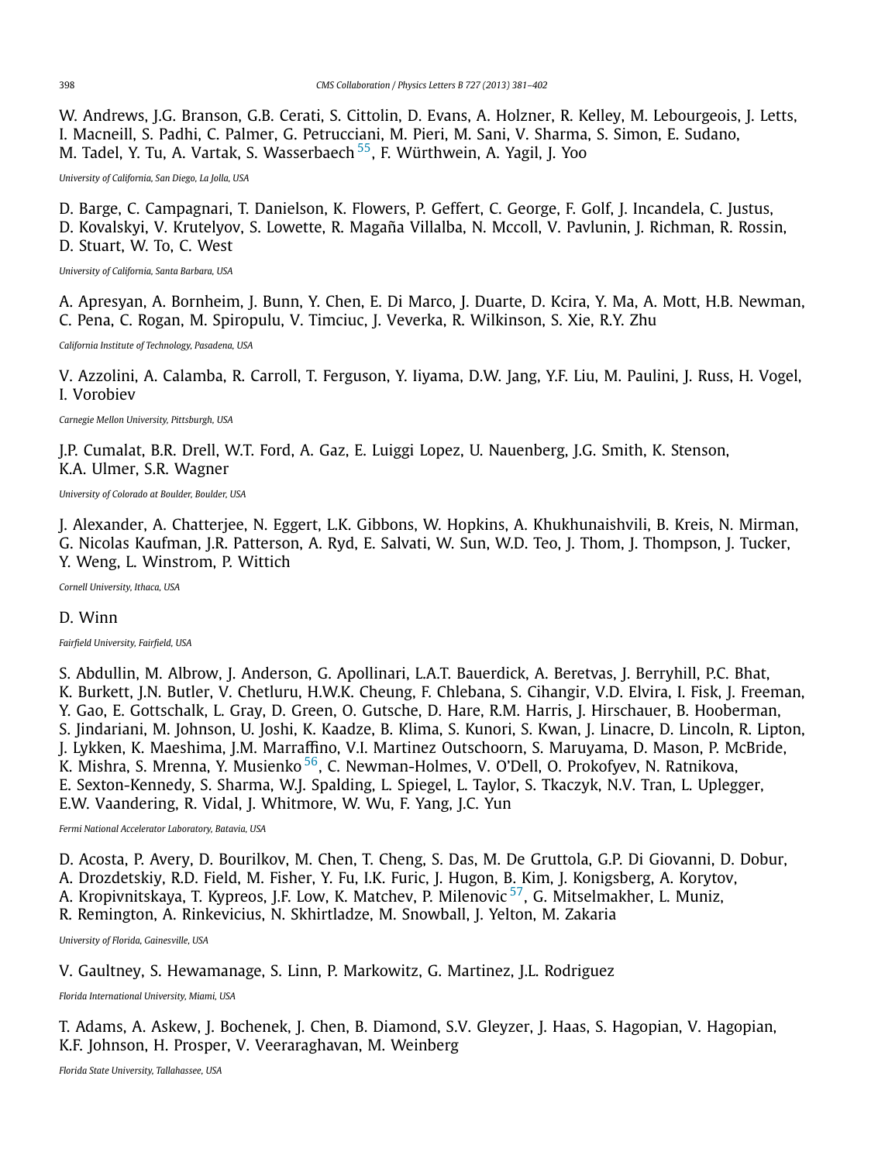W. Andrews, J.G. Branson, G.B. Cerati, S. Cittolin, D. Evans, A. Holzner, R. Kelley, M. Lebourgeois, J. Letts, I. Macneill, S. Padhi, C. Palmer, G. Petrucciani, M. Pieri, M. Sani, V. Sharma, S. Simon, E. Sudano, M. Tadel, Y. Tu, A. Vartak, S. Wasserbaech [55,](#page-21-0) F. Würthwein, A. Yagil, J. Yoo

*University of California, San Diego, La Jolla, USA*

D. Barge, C. Campagnari, T. Danielson, K. Flowers, P. Geffert, C. George, F. Golf, J. Incandela, C. Justus, D. Kovalskyi, V. Krutelyov, S. Lowette, R. Magaña Villalba, N. Mccoll, V. Pavlunin, J. Richman, R. Rossin, D. Stuart, W. To, C. West

*University of California, Santa Barbara, USA*

A. Apresyan, A. Bornheim, J. Bunn, Y. Chen, E. Di Marco, J. Duarte, D. Kcira, Y. Ma, A. Mott, H.B. Newman, C. Pena, C. Rogan, M. Spiropulu, V. Timciuc, J. Veverka, R. Wilkinson, S. Xie, R.Y. Zhu

*California Institute of Technology, Pasadena, USA*

V. Azzolini, A. Calamba, R. Carroll, T. Ferguson, Y. Iiyama, D.W. Jang, Y.F. Liu, M. Paulini, J. Russ, H. Vogel, I. Vorobiev

*Carnegie Mellon University, Pittsburgh, USA*

J.P. Cumalat, B.R. Drell, W.T. Ford, A. Gaz, E. Luiggi Lopez, U. Nauenberg, J.G. Smith, K. Stenson, K.A. Ulmer, S.R. Wagner

*University of Colorado at Boulder, Boulder, USA*

J. Alexander, A. Chatterjee, N. Eggert, L.K. Gibbons, W. Hopkins, A. Khukhunaishvili, B. Kreis, N. Mirman, G. Nicolas Kaufman, J.R. Patterson, A. Ryd, E. Salvati, W. Sun, W.D. Teo, J. Thom, J. Thompson, J. Tucker, Y. Weng, L. Winstrom, P. Wittich

*Cornell University, Ithaca, USA*

D. Winn

*Fairfield University, Fairfield, USA*

S. Abdullin, M. Albrow, J. Anderson, G. Apollinari, L.A.T. Bauerdick, A. Beretvas, J. Berryhill, P.C. Bhat, K. Burkett, J.N. Butler, V. Chetluru, H.W.K. Cheung, F. Chlebana, S. Cihangir, V.D. Elvira, I. Fisk, J. Freeman, Y. Gao, E. Gottschalk, L. Gray, D. Green, O. Gutsche, D. Hare, R.M. Harris, J. Hirschauer, B. Hooberman, S. Jindariani, M. Johnson, U. Joshi, K. Kaadze, B. Klima, S. Kunori, S. Kwan, J. Linacre, D. Lincoln, R. Lipton, J. Lykken, K. Maeshima, J.M. Marraffino, V.I. Martinez Outschoorn, S. Maruyama, D. Mason, P. McBride, K. Mishra, S. Mrenna, Y. Musienko <sup>56</sup>, C. Newman-Holmes, V. O'Dell, O. Prokofyev, N. Ratnikova, E. Sexton-Kennedy, S. Sharma, W.J. Spalding, L. Spiegel, L. Taylor, S. Tkaczyk, N.V. Tran, L. Uplegger, E.W. Vaandering, R. Vidal, J. Whitmore, W. Wu, F. Yang, J.C. Yun

*Fermi National Accelerator Laboratory, Batavia, USA*

D. Acosta, P. Avery, D. Bourilkov, M. Chen, T. Cheng, S. Das, M. De Gruttola, G.P. Di Giovanni, D. Dobur, A. Drozdetskiy, R.D. Field, M. Fisher, Y. Fu, I.K. Furic, J. Hugon, B. Kim, J. Konigsberg, A. Korytov, A. Kropivnitskaya, T. Kypreos, J.F. Low, K. Matchev, P. Milenovic [57,](#page-21-0) G. Mitselmakher, L. Muniz, R. Remington, A. Rinkevicius, N. Skhirtladze, M. Snowball, J. Yelton, M. Zakaria

*University of Florida, Gainesville, USA*

V. Gaultney, S. Hewamanage, S. Linn, P. Markowitz, G. Martinez, J.L. Rodriguez

*Florida International University, Miami, USA*

T. Adams, A. Askew, J. Bochenek, J. Chen, B. Diamond, S.V. Gleyzer, J. Haas, S. Hagopian, V. Hagopian, K.F. Johnson, H. Prosper, V. Veeraraghavan, M. Weinberg

*Florida State University, Tallahassee, USA*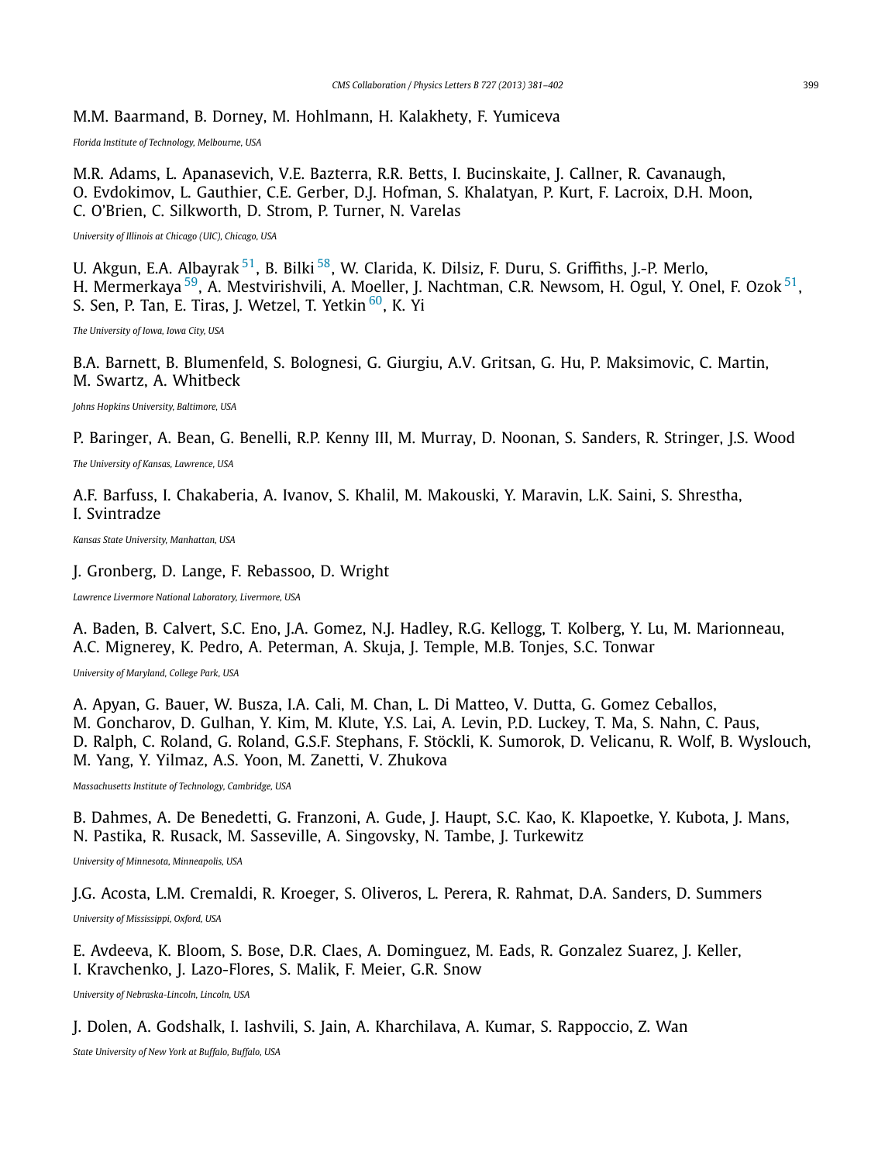### M.M. Baarmand, B. Dorney, M. Hohlmann, H. Kalakhety, F. Yumiceva

*Florida Institute of Technology, Melbourne, USA*

M.R. Adams, L. Apanasevich, V.E. Bazterra, R.R. Betts, I. Bucinskaite, J. Callner, R. Cavanaugh, O. Evdokimov, L. Gauthier, C.E. Gerber, D.J. Hofman, S. Khalatyan, P. Kurt, F. Lacroix, D.H. Moon, C. O'Brien, C. Silkworth, D. Strom, P. Turner, N. Varelas

*University of Illinois at Chicago (UIC), Chicago, USA*

U. Akgun, E.A. Albayrak <sup>51</sup>, B. Bilki <sup>58</sup>, W. Clarida, K. Dilsiz, F. Duru, S. Griffiths, J.-P. Merlo, H. Mermerkaya [59,](#page-21-0) A. Mestvirishvili, A. Moeller, J. Nachtman, C.R. Newsom, H. Ogul, Y. Onel, F. Ozok [51,](#page-21-0) S. Sen, P. Tan, E. Tiras, J. Wetzel, T. Yetkin <sup>60</sup>, K. Yi

*The University of Iowa, Iowa City, USA*

B.A. Barnett, B. Blumenfeld, S. Bolognesi, G. Giurgiu, A.V. Gritsan, G. Hu, P. Maksimovic, C. Martin, M. Swartz, A. Whitbeck

*Johns Hopkins University, Baltimore, USA*

P. Baringer, A. Bean, G. Benelli, R.P. Kenny III, M. Murray, D. Noonan, S. Sanders, R. Stringer, J.S. Wood

*The University of Kansas, Lawrence, USA*

A.F. Barfuss, I. Chakaberia, A. Ivanov, S. Khalil, M. Makouski, Y. Maravin, L.K. Saini, S. Shrestha, I. Svintradze

*Kansas State University, Manhattan, USA*

J. Gronberg, D. Lange, F. Rebassoo, D. Wright

*Lawrence Livermore National Laboratory, Livermore, USA*

A. Baden, B. Calvert, S.C. Eno, J.A. Gomez, N.J. Hadley, R.G. Kellogg, T. Kolberg, Y. Lu, M. Marionneau, A.C. Mignerey, K. Pedro, A. Peterman, A. Skuja, J. Temple, M.B. Tonjes, S.C. Tonwar

*University of Maryland, College Park, USA*

A. Apyan, G. Bauer, W. Busza, I.A. Cali, M. Chan, L. Di Matteo, V. Dutta, G. Gomez Ceballos, M. Goncharov, D. Gulhan, Y. Kim, M. Klute, Y.S. Lai, A. Levin, P.D. Luckey, T. Ma, S. Nahn, C. Paus, D. Ralph, C. Roland, G. Roland, G.S.F. Stephans, F. Stöckli, K. Sumorok, D. Velicanu, R. Wolf, B. Wyslouch, M. Yang, Y. Yilmaz, A.S. Yoon, M. Zanetti, V. Zhukova

*Massachusetts Institute of Technology, Cambridge, USA*

B. Dahmes, A. De Benedetti, G. Franzoni, A. Gude, J. Haupt, S.C. Kao, K. Klapoetke, Y. Kubota, J. Mans, N. Pastika, R. Rusack, M. Sasseville, A. Singovsky, N. Tambe, J. Turkewitz

*University of Minnesota, Minneapolis, USA*

J.G. Acosta, L.M. Cremaldi, R. Kroeger, S. Oliveros, L. Perera, R. Rahmat, D.A. Sanders, D. Summers *University of Mississippi, Oxford, USA*

E. Avdeeva, K. Bloom, S. Bose, D.R. Claes, A. Dominguez, M. Eads, R. Gonzalez Suarez, J. Keller, I. Kravchenko, J. Lazo-Flores, S. Malik, F. Meier, G.R. Snow

*University of Nebraska-Lincoln, Lincoln, USA*

J. Dolen, A. Godshalk, I. Iashvili, S. Jain, A. Kharchilava, A. Kumar, S. Rappoccio, Z. Wan

*State University of New York at Buffalo, Buffalo, USA*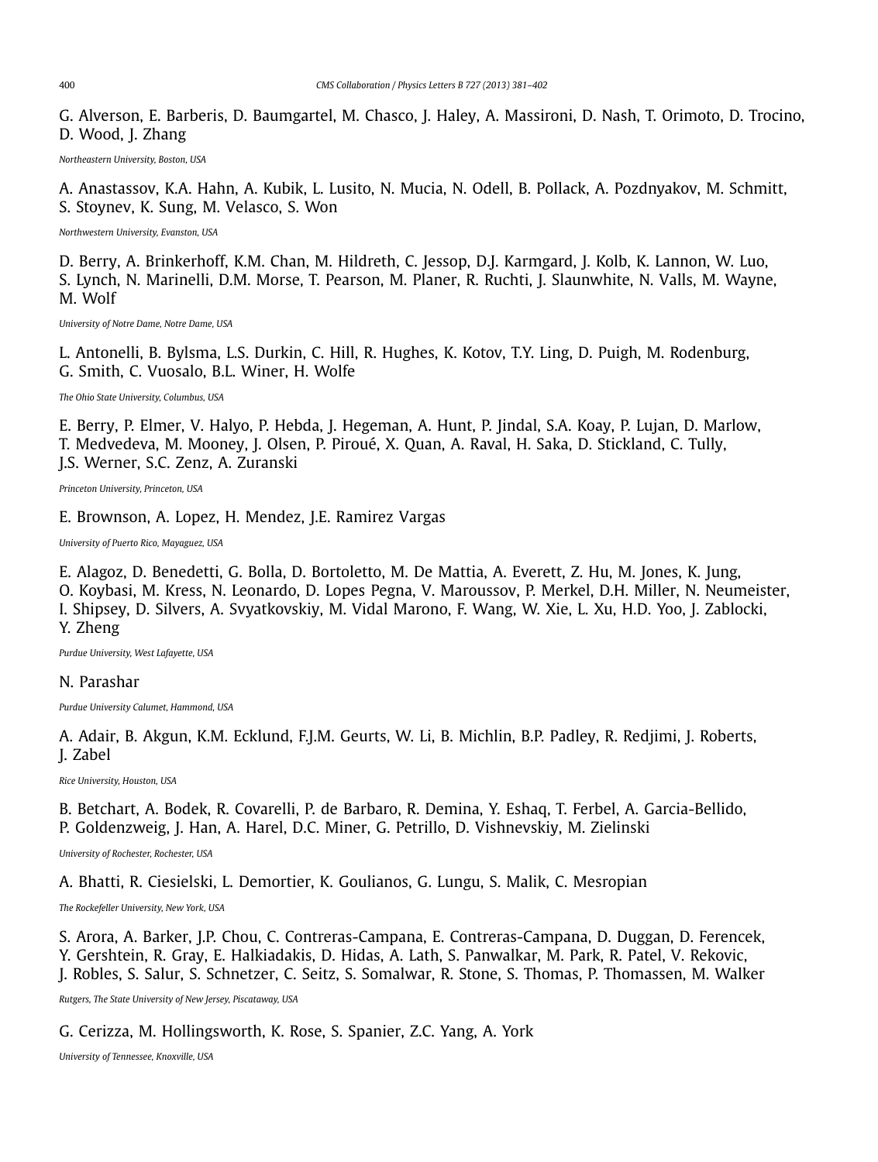G. Alverson, E. Barberis, D. Baumgartel, M. Chasco, J. Haley, A. Massironi, D. Nash, T. Orimoto, D. Trocino, D. Wood, J. Zhang

*Northeastern University, Boston, USA*

A. Anastassov, K.A. Hahn, A. Kubik, L. Lusito, N. Mucia, N. Odell, B. Pollack, A. Pozdnyakov, M. Schmitt, S. Stoynev, K. Sung, M. Velasco, S. Won

*Northwestern University, Evanston, USA*

D. Berry, A. Brinkerhoff, K.M. Chan, M. Hildreth, C. Jessop, D.J. Karmgard, J. Kolb, K. Lannon, W. Luo, S. Lynch, N. Marinelli, D.M. Morse, T. Pearson, M. Planer, R. Ruchti, J. Slaunwhite, N. Valls, M. Wayne, M. Wolf

*University of Notre Dame, Notre Dame, USA*

L. Antonelli, B. Bylsma, L.S. Durkin, C. Hill, R. Hughes, K. Kotov, T.Y. Ling, D. Puigh, M. Rodenburg, G. Smith, C. Vuosalo, B.L. Winer, H. Wolfe

*The Ohio State University, Columbus, USA*

E. Berry, P. Elmer, V. Halyo, P. Hebda, J. Hegeman, A. Hunt, P. Jindal, S.A. Koay, P. Lujan, D. Marlow, T. Medvedeva, M. Mooney, J. Olsen, P. Piroué, X. Quan, A. Raval, H. Saka, D. Stickland, C. Tully, J.S. Werner, S.C. Zenz, A. Zuranski

*Princeton University, Princeton, USA*

E. Brownson, A. Lopez, H. Mendez, J.E. Ramirez Vargas

*University of Puerto Rico, Mayaguez, USA*

E. Alagoz, D. Benedetti, G. Bolla, D. Bortoletto, M. De Mattia, A. Everett, Z. Hu, M. Jones, K. Jung, O. Koybasi, M. Kress, N. Leonardo, D. Lopes Pegna, V. Maroussov, P. Merkel, D.H. Miller, N. Neumeister, I. Shipsey, D. Silvers, A. Svyatkovskiy, M. Vidal Marono, F. Wang, W. Xie, L. Xu, H.D. Yoo, J. Zablocki, Y. Zheng

*Purdue University, West Lafayette, USA*

N. Parashar

*Purdue University Calumet, Hammond, USA*

A. Adair, B. Akgun, K.M. Ecklund, F.J.M. Geurts, W. Li, B. Michlin, B.P. Padley, R. Redjimi, J. Roberts, J. Zabel

*Rice University, Houston, USA*

B. Betchart, A. Bodek, R. Covarelli, P. de Barbaro, R. Demina, Y. Eshaq, T. Ferbel, A. Garcia-Bellido, P. Goldenzweig, J. Han, A. Harel, D.C. Miner, G. Petrillo, D. Vishnevskiy, M. Zielinski

*University of Rochester, Rochester, USA*

A. Bhatti, R. Ciesielski, L. Demortier, K. Goulianos, G. Lungu, S. Malik, C. Mesropian

*The Rockefeller University, New York, USA*

S. Arora, A. Barker, J.P. Chou, C. Contreras-Campana, E. Contreras-Campana, D. Duggan, D. Ferencek, Y. Gershtein, R. Gray, E. Halkiadakis, D. Hidas, A. Lath, S. Panwalkar, M. Park, R. Patel, V. Rekovic, J. Robles, S. Salur, S. Schnetzer, C. Seitz, S. Somalwar, R. Stone, S. Thomas, P. Thomassen, M. Walker

*Rutgers, The State University of New Jersey, Piscataway, USA*

G. Cerizza, M. Hollingsworth, K. Rose, S. Spanier, Z.C. Yang, A. York

*University of Tennessee, Knoxville, USA*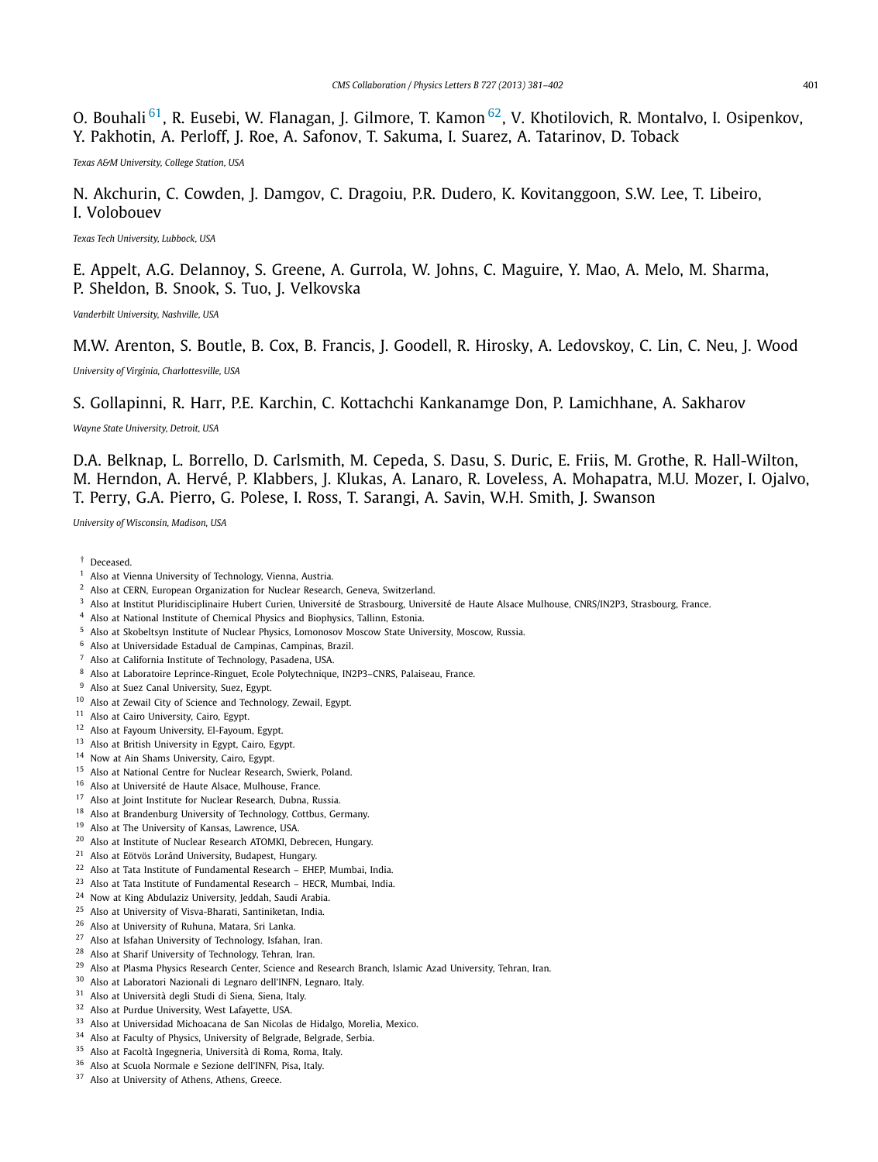<span id="page-20-0"></span>O. Bouhali <sup>[61](#page-21-0)</sup>, R. Eusebi, W. Flanagan, J. Gilmore, T. Kamon <sup>62</sup>, V. Khotilovich, R. Montalvo, I. Osipenkov, Y. Pakhotin, A. Perloff, J. Roe, A. Safonov, T. Sakuma, I. Suarez, A. Tatarinov, D. Toback

*Texas A&M University, College Station, USA*

N. Akchurin, C. Cowden, J. Damgov, C. Dragoiu, P.R. Dudero, K. Kovitanggoon, S.W. Lee, T. Libeiro, I. Volobouev

*Texas Tech University, Lubbock, USA*

E. Appelt, A.G. Delannoy, S. Greene, A. Gurrola, W. Johns, C. Maguire, Y. Mao, A. Melo, M. Sharma, P. Sheldon, B. Snook, S. Tuo, J. Velkovska

*Vanderbilt University, Nashville, USA*

M.W. Arenton, S. Boutle, B. Cox, B. Francis, J. Goodell, R. Hirosky, A. Ledovskoy, C. Lin, C. Neu, J. Wood

*University of Virginia, Charlottesville, USA*

S. Gollapinni, R. Harr, P.E. Karchin, C. Kottachchi Kankanamge Don, P. Lamichhane, A. Sakharov

*Wayne State University, Detroit, USA*

D.A. Belknap, L. Borrello, D. Carlsmith, M. Cepeda, S. Dasu, S. Duric, E. Friis, M. Grothe, R. Hall-Wilton, M. Herndon, A. Hervé, P. Klabbers, J. Klukas, A. Lanaro, R. Loveless, A. Mohapatra, M.U. Mozer, I. Ojalvo, T. Perry, G.A. Pierro, G. Polese, I. Ross, T. Sarangi, A. Savin, W.H. Smith, J. Swanson

*University of Wisconsin, Madison, USA*

- † Deceased.
- <sup>1</sup> Also at Vienna University of Technology, Vienna, Austria.
- <sup>2</sup> Also at CERN, European Organization for Nuclear Research, Geneva, Switzerland.
- <sup>3</sup> Also at Institut Pluridisciplinaire Hubert Curien, Université de Strasbourg, Université de Haute Alsace Mulhouse, CNRS/IN2P3, Strasbourg, France.
- <sup>4</sup> Also at National Institute of Chemical Physics and Biophysics, Tallinn, Estonia.
- <sup>5</sup> Also at Skobeltsyn Institute of Nuclear Physics, Lomonosov Moscow State University, Moscow, Russia.
- <sup>6</sup> Also at Universidade Estadual de Campinas, Campinas, Brazil.
- <sup>7</sup> Also at California Institute of Technology, Pasadena, USA.
- <sup>8</sup> Also at Laboratoire Leprince-Ringuet, Ecole Polytechnique, IN2P3–CNRS, Palaiseau, France.
- Also at Suez Canal University, Suez, Egypt.
- <sup>10</sup> Also at Zewail City of Science and Technology, Zewail, Egypt.
- <sup>11</sup> Also at Cairo University, Cairo, Egypt.
- <sup>12</sup> Also at Fayoum University, El-Fayoum, Egypt.
- <sup>13</sup> Also at British University in Egypt, Cairo, Egypt.
- <sup>14</sup> Now at Ain Shams University, Cairo, Egypt.
- <sup>15</sup> Also at National Centre for Nuclear Research, Swierk, Poland.
- <sup>16</sup> Also at Université de Haute Alsace, Mulhouse, France.
- <sup>17</sup> Also at Joint Institute for Nuclear Research, Dubna, Russia.
- <sup>18</sup> Also at Brandenburg University of Technology, Cottbus, Germany.
- <sup>19</sup> Also at The University of Kansas, Lawrence, USA.
- <sup>20</sup> Also at Institute of Nuclear Research ATOMKI, Debrecen, Hungary.
- <sup>21</sup> Also at Eötvös Loránd University, Budapest, Hungary.
- <sup>22</sup> Also at Tata Institute of Fundamental Research EHEP, Mumbai, India.
- <sup>23</sup> Also at Tata Institute of Fundamental Research HECR, Mumbai, India.
- <sup>24</sup> Now at King Abdulaziz University, Jeddah, Saudi Arabia.
- <sup>25</sup> Also at University of Visva-Bharati, Santiniketan, India.
- <sup>26</sup> Also at University of Ruhuna, Matara, Sri Lanka.
- <sup>27</sup> Also at Isfahan University of Technology, Isfahan, Iran.
- <sup>28</sup> Also at Sharif University of Technology, Tehran, Iran.
- <sup>29</sup> Also at Plasma Physics Research Center, Science and Research Branch, Islamic Azad University, Tehran, Iran.
- <sup>30</sup> Also at Laboratori Nazionali di Legnaro dell'INFN, Legnaro, Italy.
- <sup>31</sup> Also at Università degli Studi di Siena, Siena, Italy.
- <sup>32</sup> Also at Purdue University, West Lafayette, USA.
- <sup>33</sup> Also at Universidad Michoacana de San Nicolas de Hidalgo, Morelia, Mexico.
- <sup>34</sup> Also at Faculty of Physics, University of Belgrade, Belgrade, Serbia.
- <sup>35</sup> Also at Facoltà Ingegneria, Università di Roma, Roma, Italy.
- <sup>36</sup> Also at Scuola Normale e Sezione dell'INFN, Pisa, Italy.
- <sup>37</sup> Also at University of Athens, Athens, Greece.